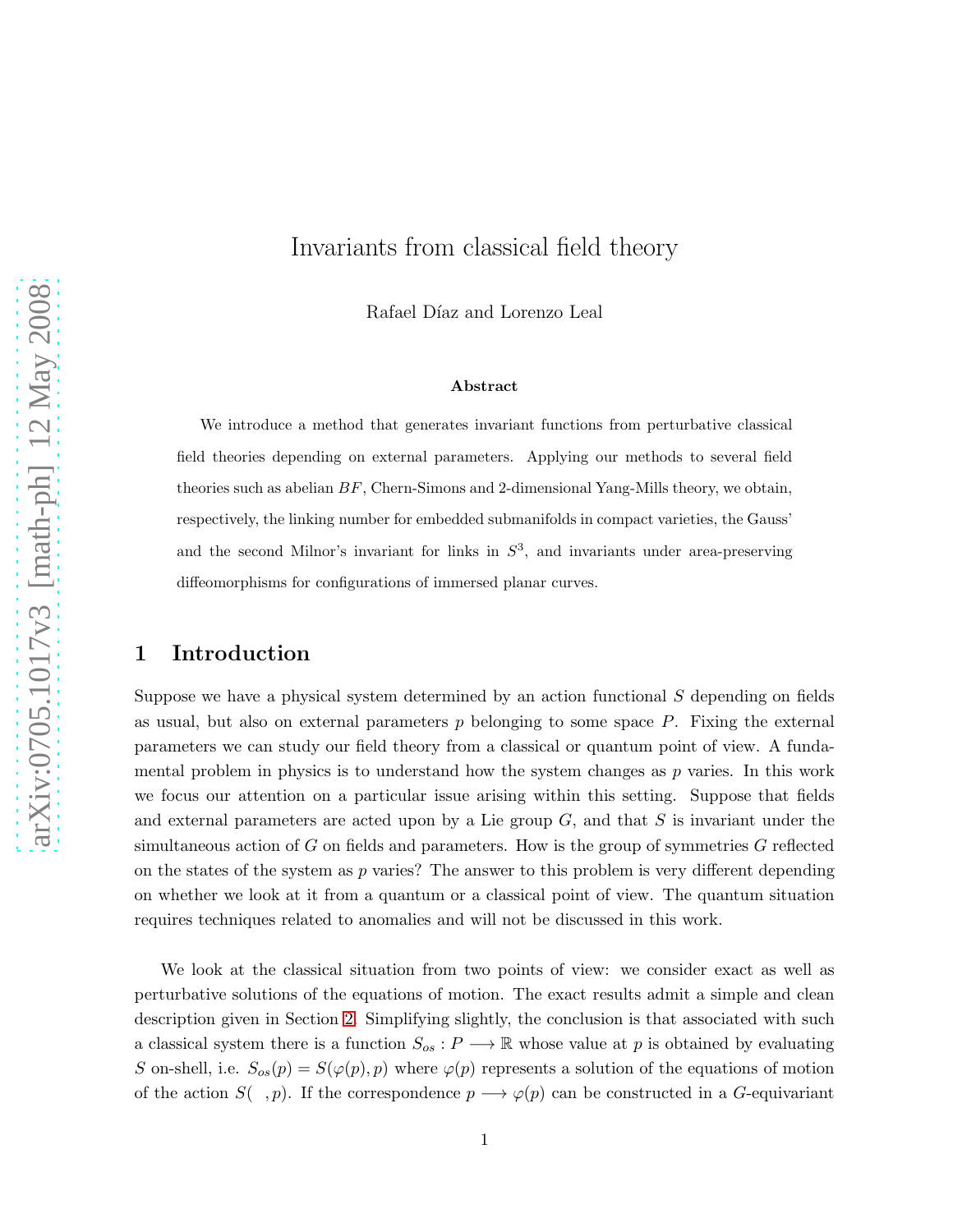# Invariants from classical field theory

Rafael Díaz and Lorenzo Leal

#### Abstract

We introduce a method that generates invariant functions from perturbative classical field theories depending on external parameters. Applying our methods to several field theories such as abelian  $BF$ , Chern-Simons and 2-dimensional Yang-Mills theory, we obtain, respectively, the linking number for embedded submanifolds in compact varieties, the Gauss' and the second Milnor's invariant for links in  $S<sup>3</sup>$ , and invariants under area-preserving diffeomorphisms for configurations of immersed planar curves.

## 1 Introduction

Suppose we have a physical system determined by an action functional  $S$  depending on fields as usual, but also on external parameters  $p$  belonging to some space  $P$ . Fixing the external parameters we can study our field theory from a classical or quantum point of view. A fundamental problem in physics is to understand how the system changes as  $p$  varies. In this work we focus our attention on a particular issue arising within this setting. Suppose that fields and external parameters are acted upon by a Lie group  $G$ , and that  $S$  is invariant under the simultaneous action of  $G$  on fields and parameters. How is the group of symmetries  $G$  reflected on the states of the system as  $p$  varies? The answer to this problem is very different depending on whether we look at it from a quantum or a classical point of view. The quantum situation requires techniques related to anomalies and will not be discussed in this work.

We look at the classical situation from two points of view: we consider exact as well as perturbative solutions of the equations of motion. The exact results admit a simple and clean description given in Section [2.](#page-1-0) Simplifying slightly, the conclusion is that associated with such a classical system there is a function  $S_{os}: P \longrightarrow \mathbb{R}$  whose value at p is obtained by evaluating S on-shell, i.e.  $S_{os}(p) = S(\varphi(p), p)$  where  $\varphi(p)$  represents a solution of the equations of motion of the action  $S( , p)$ . If the correspondence  $p \longrightarrow \varphi(p)$  can be constructed in a G-equivariant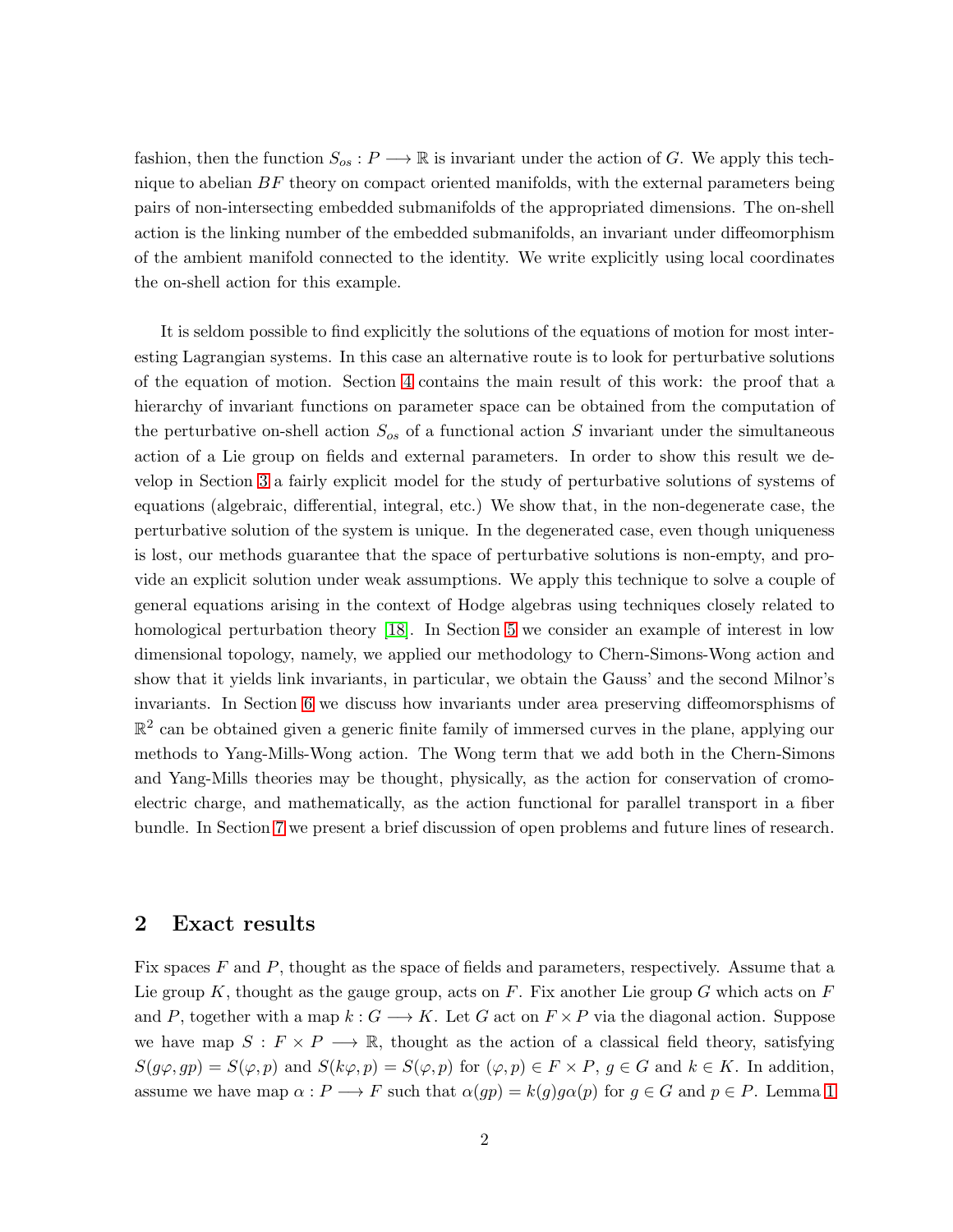fashion, then the function  $S_{os}: P \longrightarrow \mathbb{R}$  is invariant under the action of G. We apply this technique to abelian  $BF$  theory on compact oriented manifolds, with the external parameters being pairs of non-intersecting embedded submanifolds of the appropriated dimensions. The on-shell action is the linking number of the embedded submanifolds, an invariant under diffeomorphism of the ambient manifold connected to the identity. We write explicitly using local coordinates the on-shell action for this example.

It is seldom possible to find explicitly the solutions of the equations of motion for most interesting Lagrangian systems. In this case an alternative route is to look for perturbative solutions of the equation of motion. Section [4](#page-9-0) contains the main result of this work: the proof that a hierarchy of invariant functions on parameter space can be obtained from the computation of the perturbative on-shell action  $S_{os}$  of a functional action S invariant under the simultaneous action of a Lie group on fields and external parameters. In order to show this result we develop in Section [3](#page-4-0) a fairly explicit model for the study of perturbative solutions of systems of equations (algebraic, differential, integral, etc.) We show that, in the non-degenerate case, the perturbative solution of the system is unique. In the degenerated case, even though uniqueness is lost, our methods guarantee that the space of perturbative solutions is non-empty, and provide an explicit solution under weak assumptions. We apply this technique to solve a couple of general equations arising in the context of Hodge algebras using techniques closely related to homological perturbation theory [\[18\]](#page-18-0). In Section [5](#page-11-0) we consider an example of interest in low dimensional topology, namely, we applied our methodology to Chern-Simons-Wong action and show that it yields link invariants, in particular, we obtain the Gauss' and the second Milnor's invariants. In Section [6](#page-15-0) we discuss how invariants under area preserving diffeomorsphisms of  $\mathbb{R}^2$  can be obtained given a generic finite family of immersed curves in the plane, applying our methods to Yang-Mills-Wong action. The Wong term that we add both in the Chern-Simons and Yang-Mills theories may be thought, physically, as the action for conservation of cromoelectric charge, and mathematically, as the action functional for parallel transport in a fiber bundle. In Section [7](#page-16-0) we present a brief discussion of open problems and future lines of research.

#### <span id="page-1-0"></span>2 Exact results

Fix spaces F and P, thought as the space of fields and parameters, respectively. Assume that a Lie group K, thought as the gauge group, acts on F. Fix another Lie group G which acts on F and P, together with a map  $k: G \longrightarrow K$ . Let G act on  $F \times P$  via the diagonal action. Suppose we have map  $S : F \times P \longrightarrow \mathbb{R}$ , thought as the action of a classical field theory, satisfying  $S(g\varphi, gp) = S(\varphi, p)$  and  $S(k\varphi, p) = S(\varphi, p)$  for  $(\varphi, p) \in F \times P$ ,  $g \in G$  and  $k \in K$ . In addition, assume we have map  $\alpha : P \longrightarrow F$  such that  $\alpha(gp) = k(g)g\alpha(p)$  for  $g \in G$  and  $p \in P$ . Lemma [1](#page-2-0)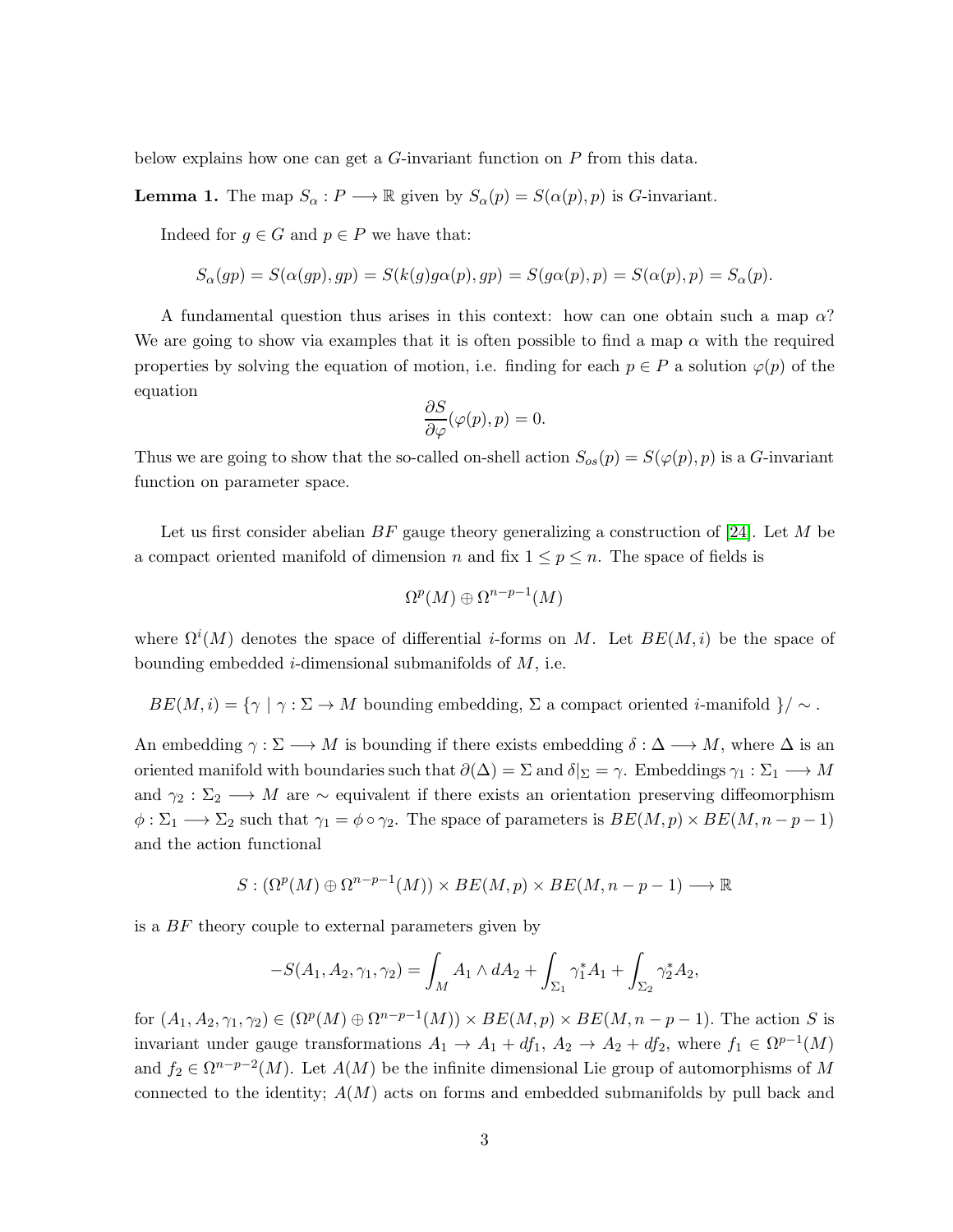below explains how one can get a G-invariant function on P from this data.

<span id="page-2-0"></span>**Lemma 1.** The map  $S_{\alpha}: P \longrightarrow \mathbb{R}$  given by  $S_{\alpha}(p) = S(\alpha(p), p)$  is G-invariant.

Indeed for  $g \in G$  and  $p \in P$  we have that:

$$
S_{\alpha}(gp) = S(\alpha(gp), gp) = S(k(g)g\alpha(p), gp) = S(g\alpha(p), p) = S(\alpha(p), p) = S_{\alpha}(p).
$$

A fundamental question thus arises in this context: how can one obtain such a map  $\alpha$ ? We are going to show via examples that it is often possible to find a map  $\alpha$  with the required properties by solving the equation of motion, i.e. finding for each  $p \in P$  a solution  $\varphi(p)$  of the equation

$$
\frac{\partial S}{\partial \varphi}(\varphi(p), p) = 0.
$$

Thus we are going to show that the so-called on-shell action  $S_{os}(p) = S(\varphi(p), p)$  is a G-invariant function on parameter space.

Let us first consider abelian  $BF$  gauge theory generalizing a construction of [\[24\]](#page-18-1). Let M be a compact oriented manifold of dimension n and fix  $1 \leq p \leq n$ . The space of fields is

$$
\Omega^p(M)\oplus\Omega^{n-p-1}(M)
$$

where  $\Omega^{i}(M)$  denotes the space of differential *i*-forms on M. Let  $BE(M, i)$  be the space of bounding embedded *i*-dimensional submanifolds of  $M$ , i.e.

 $BE(M, i) = \{\gamma \mid \gamma : \Sigma \to M \text{ bounding embedding}, \Sigma \text{ a compact oriented } i\text{-manifold }\}/\sim.$ 

An embedding  $\gamma : \Sigma \longrightarrow M$  is bounding if there exists embedding  $\delta : \Delta \longrightarrow M$ , where  $\Delta$  is an oriented manifold with boundaries such that  $\partial(\Delta) = \Sigma$  and  $\delta|_{\Sigma} = \gamma$ . Embeddings  $\gamma_1 : \Sigma_1 \longrightarrow M$ and  $\gamma_2 : \Sigma_2 \longrightarrow M$  are  $\sim$  equivalent if there exists an orientation preserving diffeomorphism  $\phi : \Sigma_1 \longrightarrow \Sigma_2$  such that  $\gamma_1 = \phi \circ \gamma_2$ . The space of parameters is  $BE(M, p) \times BE(M, n-p-1)$ and the action functional

$$
S: (\Omega^p(M) \oplus \Omega^{n-p-1}(M)) \times BE(M, p) \times BE(M, n-p-1) \longrightarrow \mathbb{R}
$$

is a BF theory couple to external parameters given by

$$
-S(A_1, A_2, \gamma_1, \gamma_2) = \int_M A_1 \wedge dA_2 + \int_{\Sigma_1} \gamma_1^* A_1 + \int_{\Sigma_2} \gamma_2^* A_2,
$$

for  $(A_1, A_2, \gamma_1, \gamma_2) \in (\Omega^p(M) \oplus \Omega^{n-p-1}(M)) \times BE(M, p) \times BE(M, n-p-1)$ . The action S is invariant under gauge transformations  $A_1 \to A_1 + df_1$ ,  $A_2 \to A_2 + df_2$ , where  $f_1 \in \Omega^{p-1}(M)$ and  $f_2 \in \Omega^{n-p-2}(M)$ . Let  $A(M)$  be the infinite dimensional Lie group of automorphisms of M connected to the identity;  $A(M)$  acts on forms and embedded submanifolds by pull back and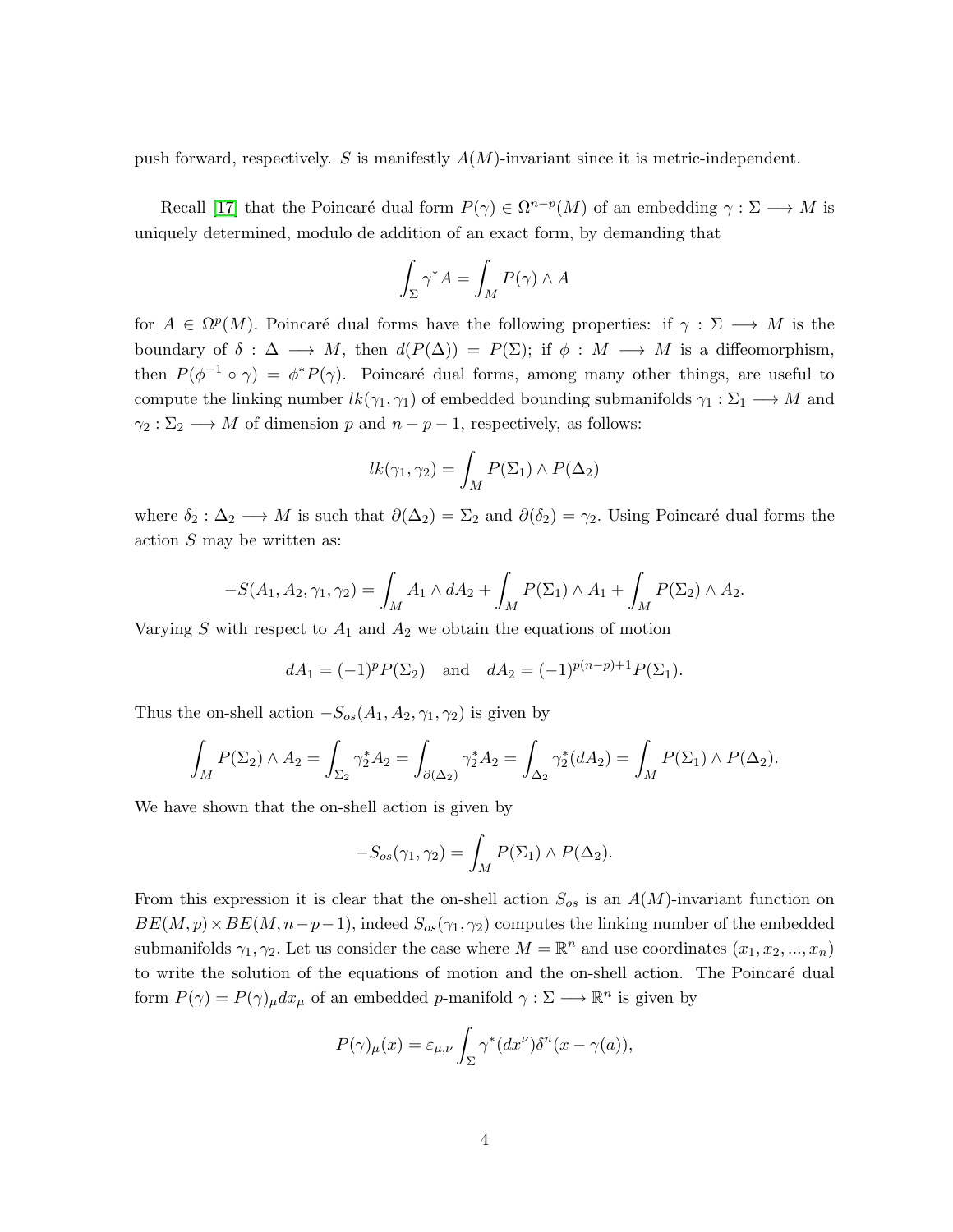push forward, respectively. S is manifestly  $A(M)$ -invariant since it is metric-independent.

Recall [\[17\]](#page-18-2) that the Poincaré dual form  $P(\gamma) \in \Omega^{n-p}(M)$  of an embedding  $\gamma : \Sigma \longrightarrow M$  is uniquely determined, modulo de addition of an exact form, by demanding that

$$
\int_{\Sigma} \gamma^* A = \int_M P(\gamma) \wedge A
$$

for  $A \in \Omega^p(M)$ . Poincaré dual forms have the following properties: if  $\gamma : \Sigma \longrightarrow M$  is the boundary of  $\delta : \Delta \longrightarrow M$ , then  $d(P(\Delta)) = P(\Sigma)$ ; if  $\phi : M \longrightarrow M$  is a diffeomorphism, then  $P(\phi^{-1} \circ \gamma) = \phi^* P(\gamma)$ . Poincaré dual forms, among many other things, are useful to compute the linking number  $lk(\gamma_1, \gamma_1)$  of embedded bounding submanifolds  $\gamma_1 : \Sigma_1 \longrightarrow M$  and  $\gamma_2 : \Sigma_2 \longrightarrow M$  of dimension p and  $n - p - 1$ , respectively, as follows:

$$
lk(\gamma_1, \gamma_2) = \int_M P(\Sigma_1) \wedge P(\Delta_2)
$$

where  $\delta_2 : \Delta_2 \longrightarrow M$  is such that  $\partial(\Delta_2) = \Sigma_2$  and  $\partial(\delta_2) = \gamma_2$ . Using Poincaré dual forms the action S may be written as:

$$
-S(A_1, A_2, \gamma_1, \gamma_2) = \int_M A_1 \wedge dA_2 + \int_M P(\Sigma_1) \wedge A_1 + \int_M P(\Sigma_2) \wedge A_2.
$$

Varying S with respect to  $A_1$  and  $A_2$  we obtain the equations of motion

$$
dA_1 = (-1)^p P(\Sigma_2)
$$
 and  $dA_2 = (-1)^{p(n-p)+1} P(\Sigma_1)$ .

Thus the on-shell action  $-S_{os}(A_1, A_2, \gamma_1, \gamma_2)$  is given by

$$
\int_M P(\Sigma_2) \wedge A_2 = \int_{\Sigma_2} \gamma_2^* A_2 = \int_{\partial(\Delta_2)} \gamma_2^* A_2 = \int_{\Delta_2} \gamma_2^* (dA_2) = \int_M P(\Sigma_1) \wedge P(\Delta_2).
$$

We have shown that the on-shell action is given by

$$
-S_{os}(\gamma_1, \gamma_2) = \int_M P(\Sigma_1) \wedge P(\Delta_2).
$$

From this expression it is clear that the on-shell action  $S_{os}$  is an  $A(M)$ -invariant function on  $BE(M, p) \times BE(M, n-p-1)$ , indeed  $S_{os}(\gamma_1, \gamma_2)$  computes the linking number of the embedded submanifolds  $\gamma_1, \gamma_2$ . Let us consider the case where  $M = \mathbb{R}^n$  and use coordinates  $(x_1, x_2, ..., x_n)$ to write the solution of the equations of motion and the on-shell action. The Poincaré dual form  $P(\gamma) = P(\gamma)_{\mu} dx_{\mu}$  of an embedded p-manifold  $\gamma : \Sigma \longrightarrow \mathbb{R}^n$  is given by

$$
P(\gamma)_{\mu}(x) = \varepsilon_{\mu,\nu} \int_{\Sigma} \gamma^*(dx^{\nu}) \delta^n(x - \gamma(a)),
$$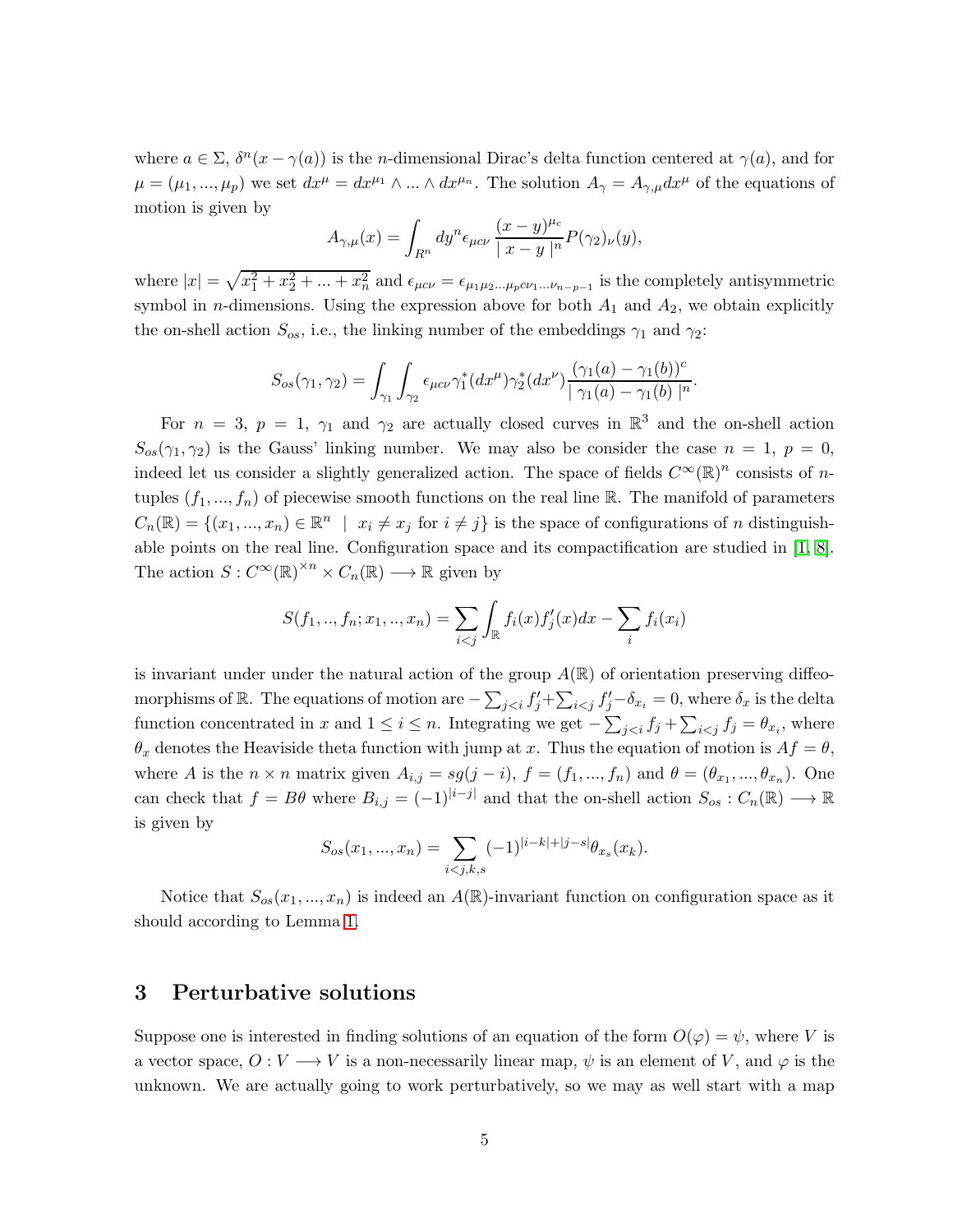where  $a \in \Sigma$ ,  $\delta^{n}(x - \gamma(a))$  is the *n*-dimensional Dirac's delta function centered at  $\gamma(a)$ , and for  $\mu = (\mu_1, ..., \mu_p)$  we set  $dx^{\mu} = dx^{\mu_1} \wedge ... \wedge dx^{\mu_n}$ . The solution  $A_{\gamma} = A_{\gamma,\mu} dx^{\mu}$  of the equations of motion is given by

$$
A_{\gamma,\mu}(x) = \int_{R^n} dy^n \epsilon_{\mu c\nu} \frac{(x-y)^{\mu c}}{|x-y|^n} P(\gamma_2)_{\nu}(y),
$$

where  $|x| = \sqrt{x_1^2 + x_2^2 + ... + x_n^2}$  and  $\epsilon_{\mu c\nu} = \epsilon_{\mu_1\mu_2...\mu_p c\nu_1...\nu_{n-p-1}}$  is the completely antisymmetric symbol in *n*-dimensions. Using the expression above for both  $A_1$  and  $A_2$ , we obtain explicitly the on-shell action  $S_{os}$ , i.e., the linking number of the embeddings  $\gamma_1$  and  $\gamma_2$ :

$$
S_{os}(\gamma_1, \gamma_2) = \int_{\gamma_1} \int_{\gamma_2} \epsilon_{\mu c \nu} \gamma_1^* (dx^{\mu}) \gamma_2^* (dx^{\nu}) \frac{(\gamma_1(a) - \gamma_1(b))^c}{|\gamma_1(a) - \gamma_1(b)|^n}.
$$

For  $n = 3$ ,  $p = 1$ ,  $\gamma_1$  and  $\gamma_2$  are actually closed curves in  $\mathbb{R}^3$  and the on-shell action  $S_{os}(\gamma_1, \gamma_2)$  is the Gauss' linking number. We may also be consider the case  $n = 1$ ,  $p = 0$ , indeed let us consider a slightly generalized action. The space of fields  $C^{\infty}(\mathbb{R})^n$  consists of ntuples  $(f_1, ..., f_n)$  of piecewise smooth functions on the real line R. The manifold of parameters  $C_n(\mathbb{R}) = \{(x_1, ..., x_n) \in \mathbb{R}^n \mid x_i \neq x_j \text{ for } i \neq j\}$  is the space of configurations of n distinguishable points on the real line. Configuration space and its compactification are studied in [\[1,](#page-17-0) [8\]](#page-17-1). The action  $S: C^{\infty}(\mathbb{R})^{\times n} \times C_n(\mathbb{R}) \longrightarrow \mathbb{R}$  given by

$$
S(f_1, ..., f_n; x_1, ..., x_n) = \sum_{i < j} \int_{\mathbb{R}} f_i(x) f'_j(x) dx - \sum_i f_i(x_i)
$$

is invariant under under the natural action of the group  $A(\mathbb{R})$  of orientation preserving diffeomorphisms of R. The equations of motion are  $-\sum_{j, where  $\delta_x$  is the delta$ function concentrated in x and  $1 \leq i \leq n$ . Integrating we get  $-\sum_{j, where$  $\theta_x$  denotes the Heaviside theta function with jump at x. Thus the equation of motion is  $Af = \theta$ , where A is the  $n \times n$  matrix given  $A_{i,j} = sg(j-i)$ ,  $f = (f_1, ..., f_n)$  and  $\theta = (\theta_{x_1}, ..., \theta_{x_n})$ . One can check that  $f = B\theta$  where  $B_{i,j} = (-1)^{|i-j|}$  and that the on-shell action  $S_{os}: C_n(\mathbb{R}) \longrightarrow \mathbb{R}$ is given by

$$
S_{os}(x_1, ..., x_n) = \sum_{i < j, k, s} (-1)^{|i - k| + |j - s|} \theta_{x_s}(x_k).
$$

Notice that  $S_{os}(x_1, ..., x_n)$  is indeed an  $A(\mathbb{R})$ -invariant function on configuration space as it should according to Lemma [1.](#page-2-0)

#### <span id="page-4-0"></span>3 Perturbative solutions

Suppose one is interested in finding solutions of an equation of the form  $O(\varphi) = \psi$ , where V is a vector space,  $O: V \longrightarrow V$  is a non-necessarily linear map,  $\psi$  is an element of V, and  $\varphi$  is the unknown. We are actually going to work perturbatively, so we may as well start with a map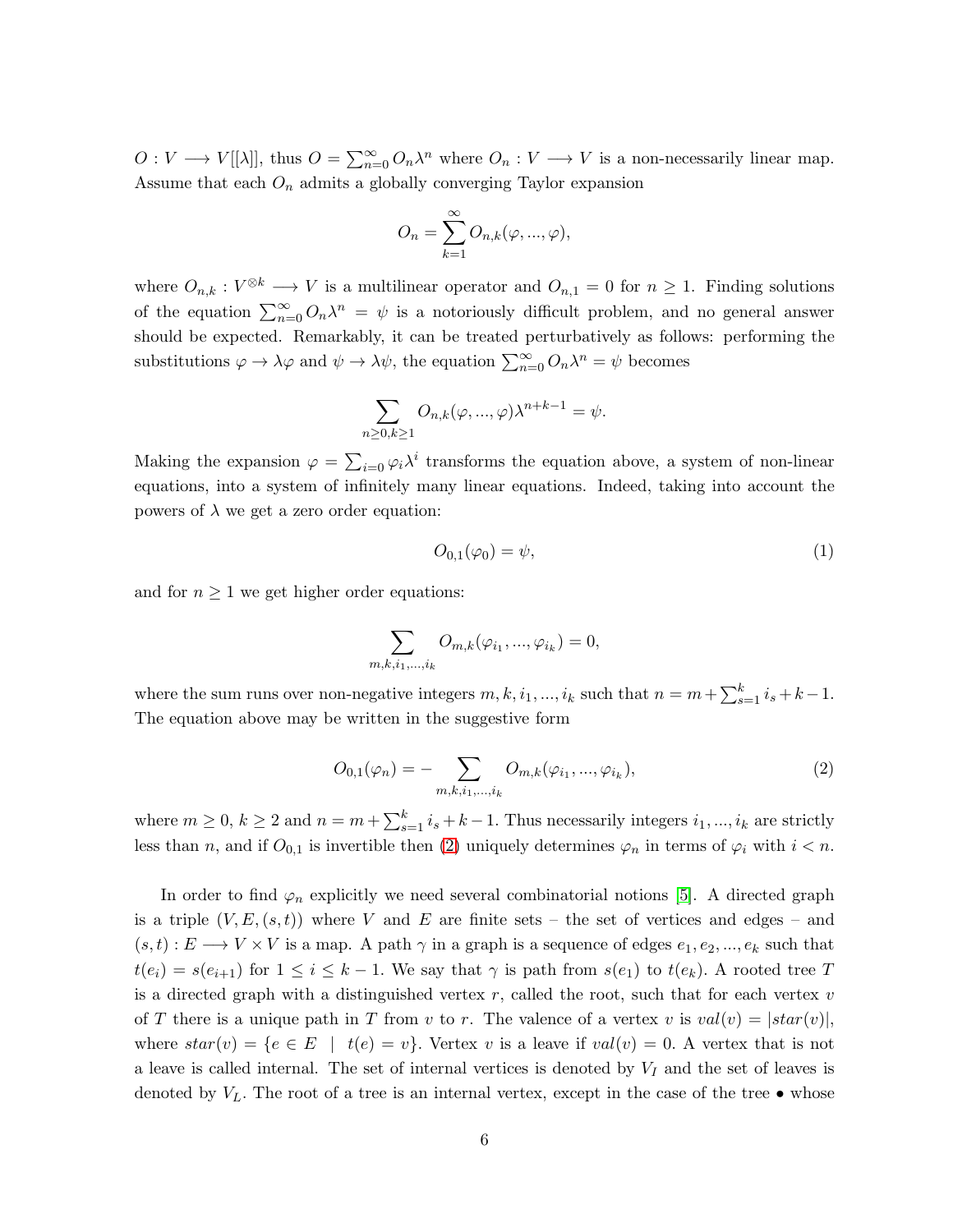$O: V \longrightarrow V[[\lambda]],$  thus  $O = \sum_{n=0}^{\infty} O_n \lambda^n$  where  $O_n: V \longrightarrow V$  is a non-necessarily linear map. Assume that each  $O_n$  admits a globally converging Taylor expansion

$$
O_n = \sum_{k=1}^{\infty} O_{n,k}(\varphi, ..., \varphi),
$$

where  $O_{n,k}: V^{\otimes k} \longrightarrow V$  is a multilinear operator and  $O_{n,1} = 0$  for  $n \geq 1$ . Finding solutions of the equation  $\sum_{n=0}^{\infty} O_n \lambda^n = \psi$  is a notoriously difficult problem, and no general answer should be expected. Remarkably, it can be treated perturbatively as follows: performing the substitutions  $\varphi \to \lambda \varphi$  and  $\psi \to \lambda \psi$ , the equation  $\sum_{n=0}^{\infty} O_n \lambda^n = \psi$  becomes

$$
\sum_{n\geq 0,k\geq 1}O_{n,k}(\varphi,...,\varphi)\lambda^{n+k-1}=\psi.
$$

Making the expansion  $\varphi = \sum_{i=0} \varphi_i \lambda^i$  transforms the equation above, a system of non-linear equations, into a system of infinitely many linear equations. Indeed, taking into account the powers of  $\lambda$  we get a zero order equation:

<span id="page-5-1"></span>
$$
O_{0,1}(\varphi_0) = \psi,\tag{1}
$$

and for  $n \geq 1$  we get higher order equations:

$$
\sum_{m,k,i_1,...,i_k} O_{m,k}(\varphi_{i_1},...,\varphi_{i_k}) = 0,
$$

where the sum runs over non-negative integers  $m, k, i_1, ..., i_k$  such that  $n = m + \sum_{s=1}^{k} i_s + k - 1$ . The equation above may be written in the suggestive form

<span id="page-5-0"></span>
$$
O_{0,1}(\varphi_n) = -\sum_{m,k,i_1,\dots,i_k} O_{m,k}(\varphi_{i_1},\dots,\varphi_{i_k}),
$$
\n(2)

where  $m \ge 0$ ,  $k \ge 2$  and  $n = m + \sum_{s=1}^{k} i_s + k - 1$ . Thus necessarily integers  $i_1, ..., i_k$  are strictly less than n, and if  $O_{0,1}$  is invertible then [\(2\)](#page-5-0) uniquely determines  $\varphi_n$  in terms of  $\varphi_i$  with  $i < n$ .

In order to find  $\varphi_n$  explicitly we need several combinatorial notions [\[5\]](#page-17-2). A directed graph is a triple  $(V, E, (s, t))$  where V and E are finite sets – the set of vertices and edges – and  $(s, t) : E \longrightarrow V \times V$  is a map. A path  $\gamma$  in a graph is a sequence of edges  $e_1, e_2, ..., e_k$  such that  $t(e_i) = s(e_{i+1})$  for  $1 \leq i \leq k-1$ . We say that  $\gamma$  is path from  $s(e_1)$  to  $t(e_k)$ . A rooted tree T is a directed graph with a distinguished vertex  $r$ , called the root, such that for each vertex  $v$ of T there is a unique path in T from v to r. The valence of a vertex v is  $val(v) = |star(v)|$ , where  $star(v) = \{e \in E \mid t(e) = v\}$ . Vertex v is a leave if  $val(v) = 0$ . A vertex that is not a leave is called internal. The set of internal vertices is denoted by  $V_I$  and the set of leaves is denoted by  $V_L$ . The root of a tree is an internal vertex, except in the case of the tree  $\bullet$  whose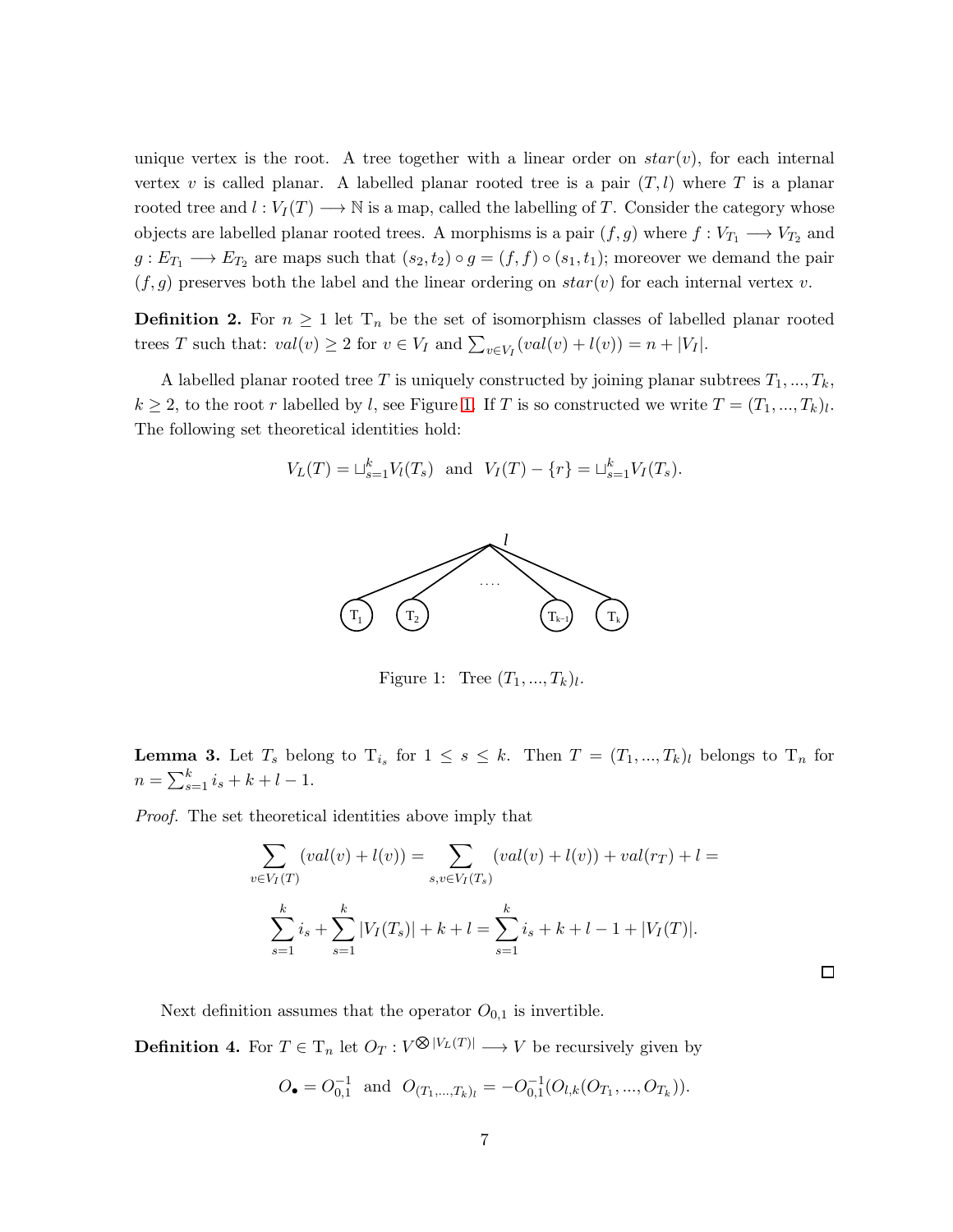unique vertex is the root. A tree together with a linear order on  $star(v)$ , for each internal vertex v is called planar. A labelled planar rooted tree is a pair  $(T, l)$  where T is a planar rooted tree and  $l: V_I(T) \longrightarrow \mathbb{N}$  is a map, called the labelling of T. Consider the category whose objects are labelled planar rooted trees. A morphisms is a pair  $(f, g)$  where  $f: V_{T_1} \longrightarrow V_{T_2}$  and  $g: E_{T_1} \longrightarrow E_{T_2}$  are maps such that  $(s_2, t_2) \circ g = (f, f) \circ (s_1, t_1)$ ; moreover we demand the pair  $(f, g)$  preserves both the label and the linear ordering on  $star(v)$  for each internal vertex v.

**Definition 2.** For  $n \geq 1$  let  $T_n$  be the set of isomorphism classes of labelled planar rooted trees T such that:  $val(v) \ge 2$  for  $v \in V_I$  and  $\sum_{v \in V_I} (val(v) + l(v)) = n + |V_I|$ .

A labelled planar rooted tree T is uniquely constructed by joining planar subtrees  $T_1, ..., T_k$ ,  $k \geq 2$ , to the root r labelled by l, see Figure [1.](#page-6-0) If T is so constructed we write  $T = (T_1, ..., T_k)_l$ . The following set theoretical identities hold:

$$
V_L(T) = \sqcup_{s=1}^k V_l(T_s)
$$
 and  $V_I(T) - \{r\} = \sqcup_{s=1}^k V_I(T_s)$ .



<span id="page-6-0"></span>Figure 1: Tree  $(T_1, ..., T_k)_l$ .

<span id="page-6-2"></span>**Lemma 3.** Let  $T_s$  belong to  $T_{i_s}$  for  $1 \leq s \leq k$ . Then  $T = (T_1, ..., T_k)_l$  belongs to  $T_n$  for  $n = \sum_{s=1}^{k} i_s + k + l - 1.$ 

Proof. The set theoretical identities above imply that

$$
\sum_{v \in V_I(T)} (val(v) + l(v)) = \sum_{s,v \in V_I(T_s)} (val(v) + l(v)) + val(r_T) + l =
$$
  

$$
\sum_{s=1}^k i_s + \sum_{s=1}^k |V_I(T_s)| + k + l = \sum_{s=1}^k i_s + k + l - 1 + |V_I(T)|.
$$

 $\Box$ 

Next definition assumes that the operator  $O_{0,1}$  is invertible.

<span id="page-6-1"></span>**Definition 4.** For  $T \in T_n$  let  $O_T: V^{\bigotimes |V_L(T)|} \longrightarrow V$  be recursively given by

$$
O_{\bullet} = O_{0,1}^{-1}
$$
 and  $O_{(T_1,...,T_k)_l} = -O_{0,1}^{-1}(O_{l,k}(O_{T_1},...,O_{T_k})).$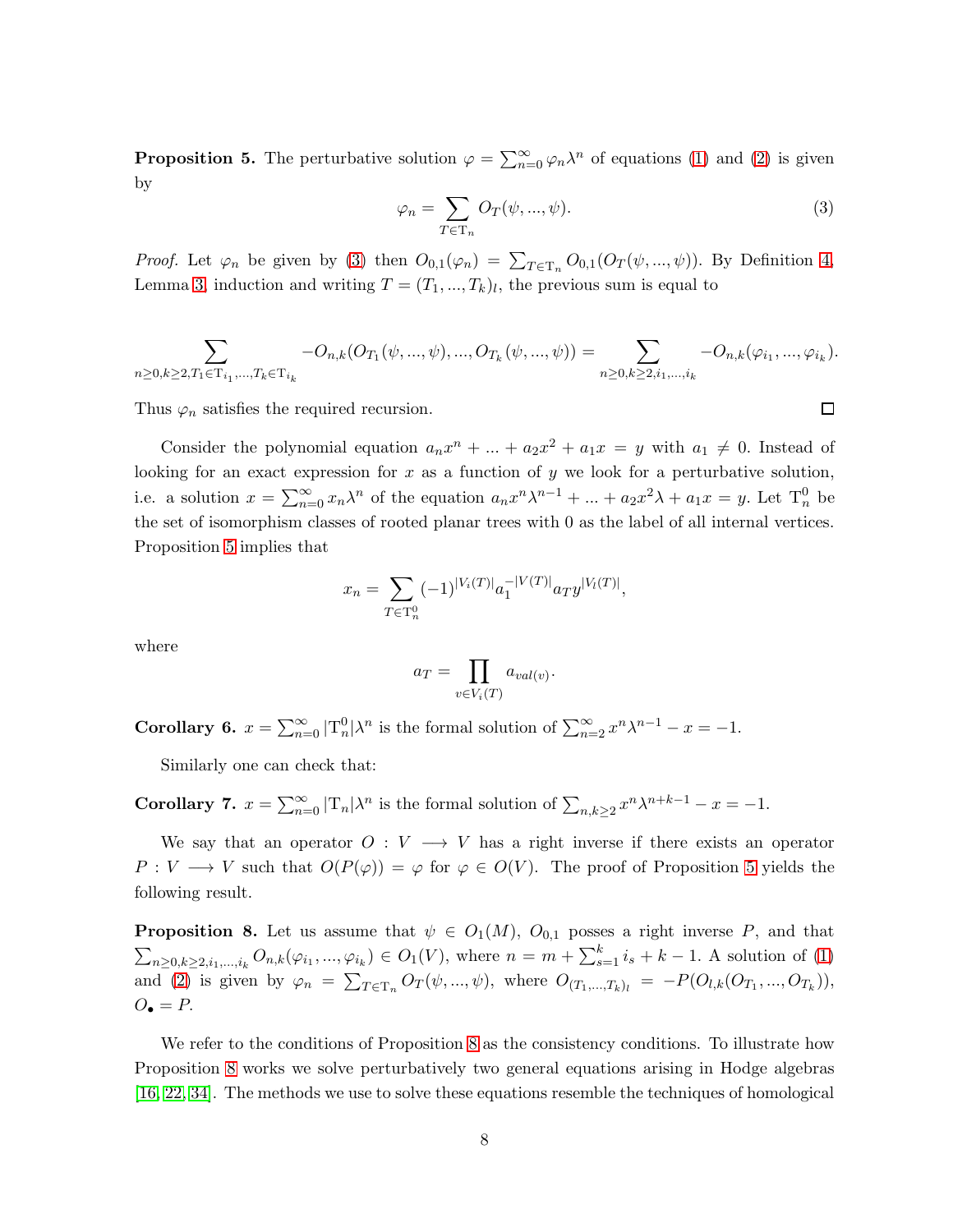<span id="page-7-1"></span>**Proposition 5.** The perturbative solution  $\varphi = \sum_{n=0}^{\infty} \varphi_n \lambda^n$  of equations [\(1\)](#page-5-1) and [\(2\)](#page-5-0) is given by

<span id="page-7-0"></span>
$$
\varphi_n = \sum_{T \in \mathcal{T}_n} O_T(\psi, ..., \psi). \tag{3}
$$

 $\Box$ 

*Proof.* Let  $\varphi_n$  be given by [\(3\)](#page-7-0) then  $O_{0,1}(\varphi_n) = \sum_{T \in \mathcal{T}_n} O_{0,1}(O_T(\psi, ..., \psi))$ . By Definition [4,](#page-6-1) Lemma [3,](#page-6-2) induction and writing  $T = (T_1, ..., T_k)_l$ , the previous sum is equal to

$$
\sum_{n\geq 0,k\geq 2,T_1\in T_{i_1},\ldots,T_k\in T_{i_k}}-O_{n,k}(O_{T_1}(\psi,...,\psi),...,O_{T_k}(\psi,...,\psi))=\sum_{n\geq 0,k\geq 2,i_1,\ldots,i_k}-O_{n,k}(\varphi_{i_1},...,\varphi_{i_k}).
$$

Thus  $\varphi_n$  satisfies the required recursion.

Consider the polynomial equation  $a_n x^n + ... + a_2 x^2 + a_1 x = y$  with  $a_1 \neq 0$ . Instead of looking for an exact expression for  $x$  as a function of  $y$  we look for a perturbative solution, i.e. a solution  $x = \sum_{n=0}^{\infty} x_n \lambda^n$  of the equation  $a_n x^n \lambda^{n-1} + ... + a_2 x^2 \lambda + a_1 x = y$ . Let  $T_n^0$  be the set of isomorphism classes of rooted planar trees with 0 as the label of all internal vertices. Proposition [5](#page-7-1) implies that

$$
x_n = \sum_{T \in \mathcal{T}_n^0} (-1)^{|V_i(T)|} a_1^{-|V(T)|} a_T y^{|V_l(T)|},
$$

where

$$
a_T = \prod_{v \in V_i(T)} a_{val(v)}.
$$

**Corollary 6.**  $x = \sum_{n=0}^{\infty} |T_n^0| \lambda^n$  is the formal solution of  $\sum_{n=2}^{\infty} x^n \lambda^{n-1} - x = -1$ .

Similarly one can check that:

**Corollary 7.**  $x = \sum_{n=0}^{\infty} |T_n| \lambda^n$  is the formal solution of  $\sum_{n,k \geq 2} x^n \lambda^{n+k-1} - x = -1$ .

We say that an operator  $O: V \longrightarrow V$  has a right inverse if there exists an operator  $P: V \longrightarrow V$  such that  $O(P(\varphi)) = \varphi$  for  $\varphi \in O(V)$ . The proof of Proposition [5](#page-7-1) yields the following result.

<span id="page-7-2"></span>**Proposition 8.** Let us assume that  $\psi \in O_1(M)$ ,  $O_{0,1}$  posses a right inverse P, and that  $\sum_{n\geq 0,k\geq 2,i_1,...,i_k} O_{n,k}(\varphi_{i_1},...,\varphi_{i_k}) \in O_1(V)$ , where  $n = m + \sum_{s=1}^k i_s + k - 1$ . A solution of [\(1\)](#page-5-1) and [\(2\)](#page-5-0) is given by  $\varphi_n = \sum_{T \in \mathcal{T}_n} O_T(\psi, ..., \psi)$ , where  $O_{(T_1,...,T_k)_l} = -P(O_{l,k}(O_{T_1},...,O_{T_k}))$ ,  $O_{\bullet} = P$ .

We refer to the conditions of Proposition [8](#page-7-2) as the consistency conditions. To illustrate how Proposition [8](#page-7-2) works we solve perturbatively two general equations arising in Hodge algebras [\[16,](#page-18-3) [22,](#page-18-4) [34\]](#page-19-0). The methods we use to solve these equations resemble the techniques of homological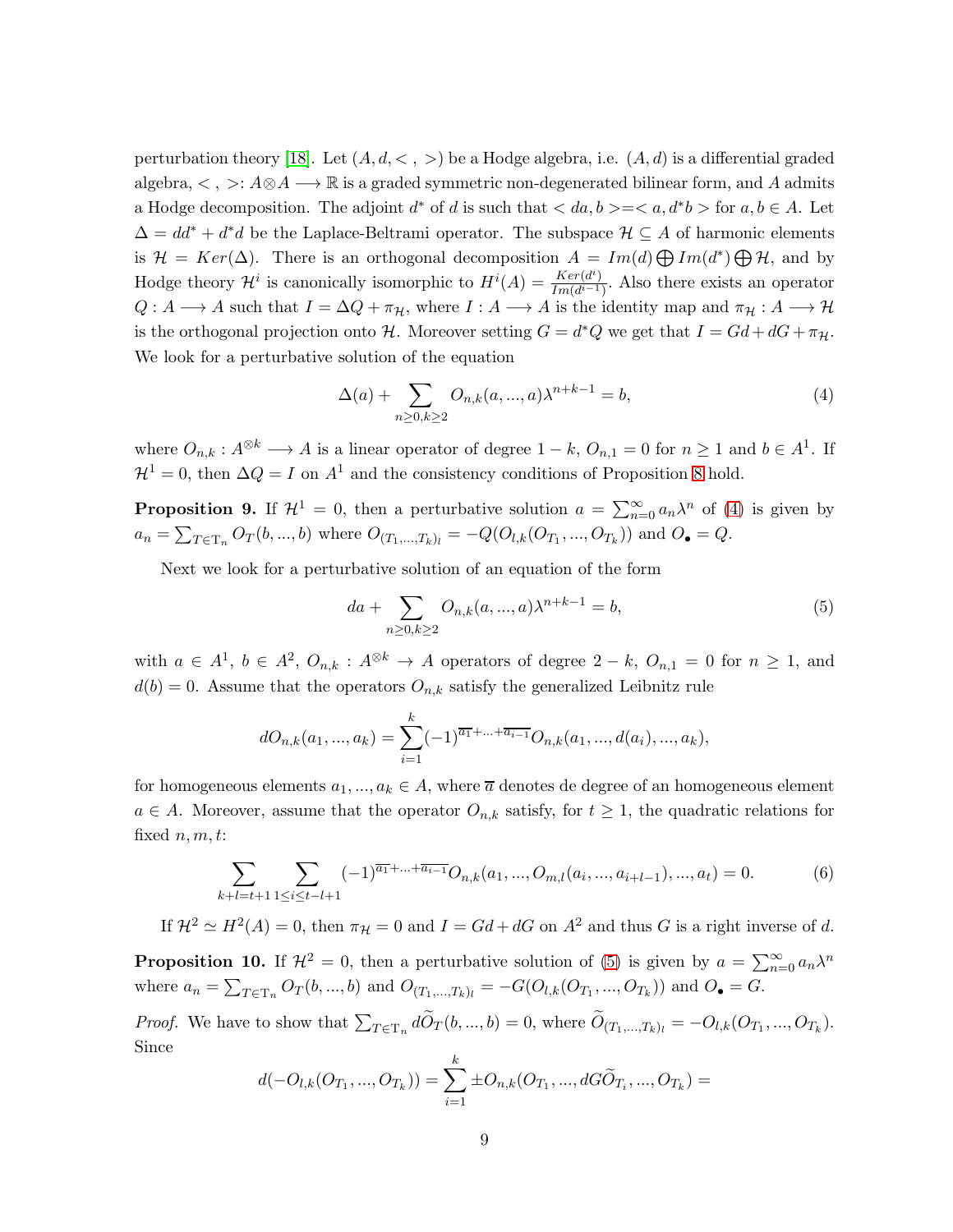perturbation theory [\[18\]](#page-18-0). Let  $(A, d, \langle , \rangle)$  be a Hodge algebra, i.e.  $(A, d)$  is a differential graded algebra,  $\lt$ ,  $\gt$ :  $A \otimes A \longrightarrow \mathbb{R}$  is a graded symmetric non-degenerated bilinear form, and A admits a Hodge decomposition. The adjoint  $d^*$  of d is such that  $\langle da, b \rangle = \langle a, d^*b \rangle$  for  $a, b \in A$ . Let  $\Delta = dd^* + d^*d$  be the Laplace-Beltrami operator. The subspace  $\mathcal{H} \subseteq A$  of harmonic elements is  $\mathcal{H} = Ker(\Delta)$ . There is an orthogonal decomposition  $A = Im(d) \bigoplus Im(d^*) \bigoplus \mathcal{H}$ , and by Hodge theory  $\mathcal{H}^i$  is canonically isomorphic to  $H^i(A) = \frac{Ker(d^i)}{Im(d^{i-1})}$  $\frac{Ker(a)}{Im(d^{i-1})}$ . Also there exists an operator  $Q: A \longrightarrow A$  such that  $I = \Delta Q + \pi_{\mathcal{H}}$ , where  $I: A \longrightarrow A$  is the identity map and  $\pi_{\mathcal{H}}: A \longrightarrow \mathcal{H}$ is the orthogonal projection onto H. Moreover setting  $G = d^*Q$  we get that  $I = Gd + dG + \pi_{\mathcal{H}}$ . We look for a perturbative solution of the equation

<span id="page-8-0"></span>
$$
\Delta(a) + \sum_{n \ge 0, k \ge 2} O_{n,k}(a, ..., a)\lambda^{n+k-1} = b,
$$
\n(4)

where  $O_{n,k}: A^{\otimes k} \longrightarrow A$  is a linear operator of degree  $1-k$ ,  $O_{n,1}=0$  for  $n \geq 1$  and  $b \in A^1$ . If  $\mathcal{H}^1 = 0$ , then  $\Delta Q = I$  on  $A^1$  and the consistency conditions of Proposition [8](#page-7-2) hold.

**Proposition 9.** If  $\mathcal{H}^1 = 0$ , then a perturbative solution  $a = \sum_{n=0}^{\infty} a_n \lambda^n$  of [\(4\)](#page-8-0) is given by  $a_n = \sum_{T \in \mathcal{T}_n} O_T(b, ..., b)$  where  $O_{(T_1, ..., T_k)_l} = -Q(O_{l,k}(O_{T_1}, ..., O_{T_k}))$  and  $O_{\bullet} = Q$ .

Next we look for a perturbative solution of an equation of the form

<span id="page-8-1"></span>
$$
da + \sum_{n \ge 0, k \ge 2} O_{n,k}(a, ..., a)\lambda^{n+k-1} = b,
$$
\n(5)

with  $a \in A^1$ ,  $b \in A^2$ ,  $O_{n,k}$ :  $A^{\otimes k} \to A$  operators of degree  $2-k$ ,  $O_{n,1}=0$  for  $n \ge 1$ , and  $d(b) = 0$ . Assume that the operators  $O_{n,k}$  satisfy the generalized Leibnitz rule

$$
dO_{n,k}(a_1, ..., a_k) = \sum_{i=1}^k (-1)^{\overline{a_1}+...+\overline{a_{i-1}}} O_{n,k}(a_1, ..., d(a_i), ..., a_k),
$$

for homogeneous elements  $a_1, ..., a_k \in A$ , where  $\overline{a}$  denotes de degree of an homogeneous element  $a \in A$ . Moreover, assume that the operator  $O_{n,k}$  satisfy, for  $t \geq 1$ , the quadratic relations for fixed  $n, m, t$ :

<span id="page-8-2"></span>
$$
\sum_{k+l=t+1}\sum_{1\leq i\leq t-l+1}(-1)^{\overline{a_1}+\ldots+\overline{a_{i-1}}}O_{n,k}(a_1,\ldots,O_{m,l}(a_i,\ldots,a_{i+l-1}),\ldots,a_t)=0. \hspace{1cm} (6)
$$

If  $\mathcal{H}^2 \simeq H^2(A) = 0$ , then  $\pi_{\mathcal{H}} = 0$  and  $I = Gd + dG$  on  $A^2$  and thus G is a right inverse of d.

<span id="page-8-3"></span>**Proposition 10.** If  $\mathcal{H}^2 = 0$ , then a perturbative solution of [\(5\)](#page-8-1) is given by  $a = \sum_{n=0}^{\infty} a_n \lambda^n$ where  $a_n = \sum_{T \in \mathcal{T}_n} O_T(b, ..., b)$  and  $O_{(T_1, ..., T_k)_l} = -G(O_{l,k}(O_{T_1}, ..., O_{T_k}))$  and  $O_{\bullet} = G$ .

*Proof.* We have to show that  $\sum_{T \in \mathcal{T}_n} d\widetilde{O}_T(b, ..., b) = 0$ , where  $\widetilde{O}_{(T_1,...,T_k)_l} = -O_{l,k}(O_{T_1}, ..., O_{T_k})$ . Since

$$
d(-O_{l,k}(O_{T_1},...,O_{T_k})) = \sum_{i=1}^k \pm O_{n,k}(O_{T_1},...,dG\widetilde{O}_{T_i},...,O_{T_k}) =
$$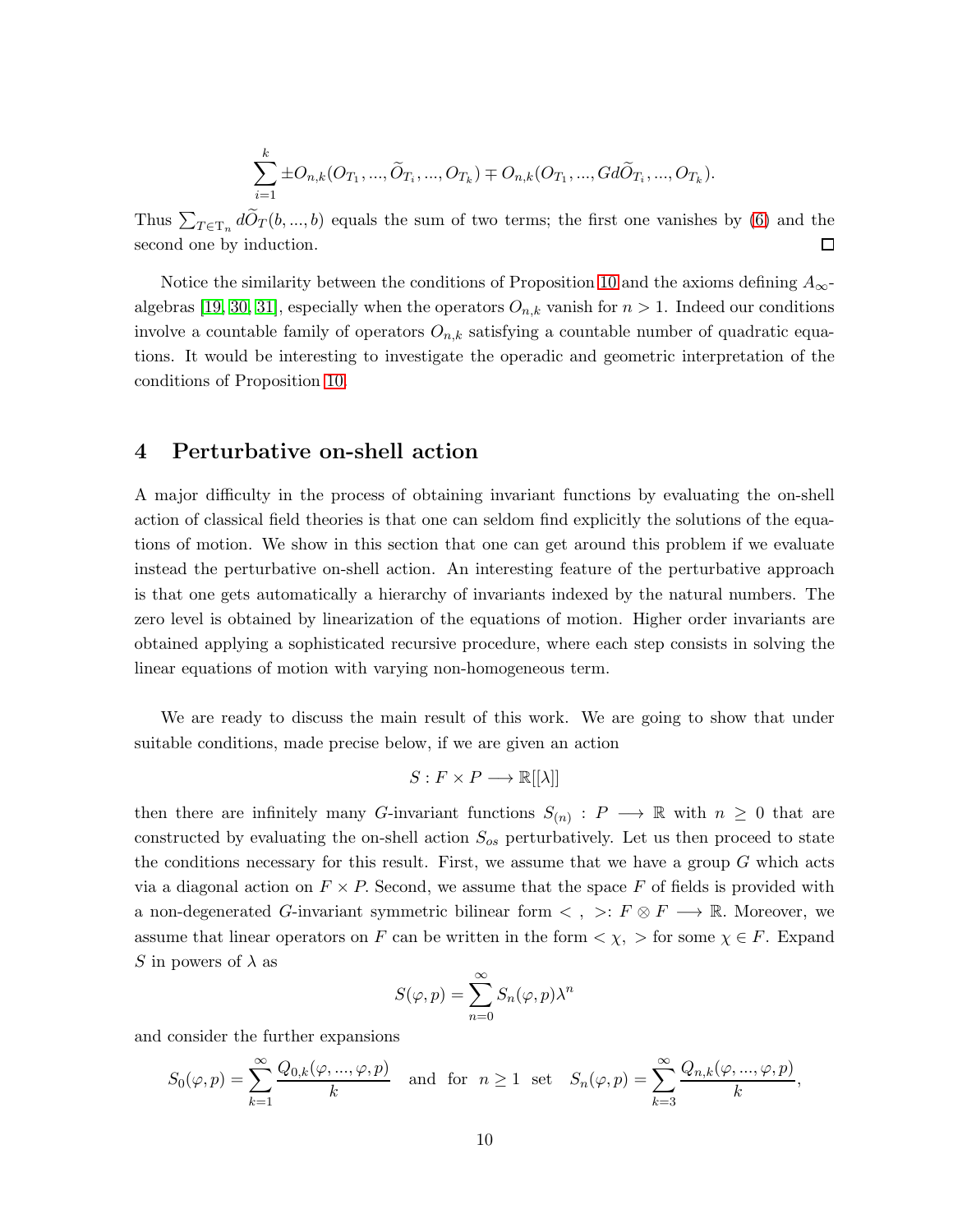$$
\sum_{i=1}^{k} \pm O_{n,k}(O_{T_1},..., \widetilde{O}_{T_i},..., O_{T_k}) \mp O_{n,k}(O_{T_1},...,Gd\widetilde{O}_{T_i},..., O_{T_k}).
$$

Thus  $\sum_{T \in \mathcal{T}_n} d\widetilde{O}_T(b, ..., b)$  equals the sum of two terms; the first one vanishes by [\(6\)](#page-8-2) and the second one by induction.  $\Box$ 

Notice the similarity between the conditions of Proposition [10](#page-8-3) and the axioms defining  $A_{\infty}$ -algebras [\[19,](#page-18-5) [30,](#page-19-1) [31\]](#page-19-2), especially when the operators  $O_{n,k}$  vanish for  $n > 1$ . Indeed our conditions involve a countable family of operators  $O_{n,k}$  satisfying a countable number of quadratic equations. It would be interesting to investigate the operadic and geometric interpretation of the conditions of Proposition [10.](#page-8-3)

#### <span id="page-9-0"></span>4 Perturbative on-shell action

A major difficulty in the process of obtaining invariant functions by evaluating the on-shell action of classical field theories is that one can seldom find explicitly the solutions of the equations of motion. We show in this section that one can get around this problem if we evaluate instead the perturbative on-shell action. An interesting feature of the perturbative approach is that one gets automatically a hierarchy of invariants indexed by the natural numbers. The zero level is obtained by linearization of the equations of motion. Higher order invariants are obtained applying a sophisticated recursive procedure, where each step consists in solving the linear equations of motion with varying non-homogeneous term.

We are ready to discuss the main result of this work. We are going to show that under suitable conditions, made precise below, if we are given an action

$$
S: F \times P \longrightarrow \mathbb{R}[[\lambda]]
$$

then there are infinitely many G-invariant functions  $S_{(n)}: P \longrightarrow \mathbb{R}$  with  $n \geq 0$  that are constructed by evaluating the on-shell action  $S_{os}$  perturbatively. Let us then proceed to state the conditions necessary for this result. First, we assume that we have a group  $G$  which acts via a diagonal action on  $F \times P$ . Second, we assume that the space F of fields is provided with a non-degenerated G-invariant symmetric bilinear form  $\lt$ ,  $\gt: F \otimes F \longrightarrow \mathbb{R}$ . Moreover, we assume that linear operators on F can be written in the form  $\langle \chi, \rangle$  for some  $\chi \in F$ . Expand S in powers of  $\lambda$  as

$$
S(\varphi, p) = \sum_{n=0}^{\infty} S_n(\varphi, p) \lambda^n
$$

and consider the further expansions

$$
S_0(\varphi, p) = \sum_{k=1}^{\infty} \frac{Q_{0,k}(\varphi, ..., \varphi, p)}{k}
$$
 and for  $n \ge 1$  set  $S_n(\varphi, p) = \sum_{k=3}^{\infty} \frac{Q_{n,k}(\varphi, ..., \varphi, p)}{k}$ ,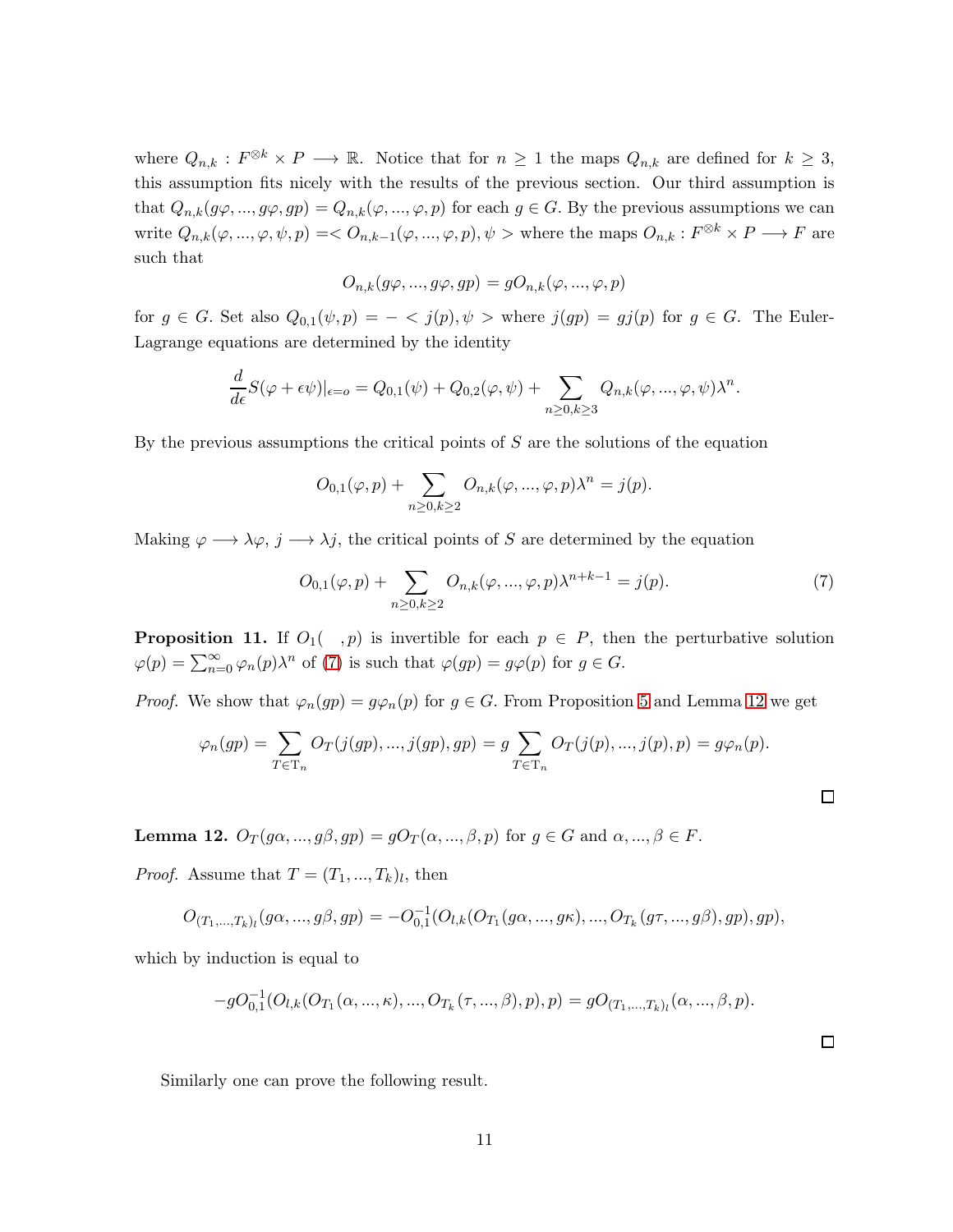where  $Q_{n,k} : F^{\otimes k} \times P \longrightarrow \mathbb{R}$ . Notice that for  $n \geq 1$  the maps  $Q_{n,k}$  are defined for  $k \geq 3$ , this assumption fits nicely with the results of the previous section. Our third assumption is that  $Q_{n,k}(g\varphi, ..., g\varphi, gp) = Q_{n,k}(\varphi, ..., \varphi, p)$  for each  $g \in G$ . By the previous assumptions we can write  $Q_{n,k}(\varphi, ..., \varphi, \psi, p) = \langle O_{n,k-1}(\varphi, ..., \varphi, p), \psi \rangle$  where the maps  $O_{n,k}: F^{\otimes k} \times P \longrightarrow F$  are such that

$$
O_{n,k}(g\varphi, ..., g\varphi, gp) = gO_{n,k}(\varphi, ..., \varphi, p)
$$

for  $g \in G$ . Set also  $Q_{0,1}(\psi, p) = -\langle j(p), \psi \rangle$  where  $j(gp) = gj(p)$  for  $g \in G$ . The Euler-Lagrange equations are determined by the identity

$$
\frac{d}{d\epsilon}S(\varphi+\epsilon\psi)|_{\epsilon=0}=Q_{0,1}(\psi)+Q_{0,2}(\varphi,\psi)+\sum_{n\geq 0,k\geq 3}Q_{n,k}(\varphi,...,\varphi,\psi)\lambda^n.
$$

By the previous assumptions the critical points of S are the solutions of the equation

$$
O_{0,1}(\varphi, p) + \sum_{n \ge 0, k \ge 2} O_{n,k}(\varphi, ..., \varphi, p) \lambda^n = j(p).
$$

Making  $\varphi \longrightarrow \lambda \varphi$ ,  $j \longrightarrow \lambda j$ , the critical points of S are determined by the equation

<span id="page-10-0"></span>
$$
O_{0,1}(\varphi, p) + \sum_{n \ge 0, k \ge 2} O_{n,k}(\varphi, ..., \varphi, p) \lambda^{n+k-1} = j(p).
$$
 (7)

**Proposition 11.** If  $O_1( , p)$  is invertible for each  $p \in P$ , then the perturbative solution  $\varphi(p) = \sum_{n=0}^{\infty} \varphi_n(p) \lambda^n$  of [\(7\)](#page-10-0) is such that  $\varphi(gp) = g\varphi(p)$  for  $g \in G$ .

*Proof.* We show that  $\varphi_n(gp) = g\varphi_n(p)$  for  $g \in G$ . From Proposition [5](#page-7-1) and Lemma [12](#page-10-1) we get

$$
\varphi_n(gp) = \sum_{T \in \mathcal{T}_n} O_T(j(gp), \dots, j(gp), gp) = g \sum_{T \in \mathcal{T}_n} O_T(j(p), \dots, j(p), p) = g \varphi_n(p).
$$

<span id="page-10-1"></span>**Lemma 12.**  $O_T(g\alpha, ..., g\beta, gp) = gO_T(\alpha, ..., \beta, p)$  for  $g \in G$  and  $\alpha, ..., \beta \in F$ .

*Proof.* Assume that  $T = (T_1, ..., T_k)_l$ , then

$$
O_{(T_1,...,T_k)_l}(g\alpha,...,g\beta,gp) = -O_{0,1}^{-1}(O_{l,k}(O_{T_1}(g\alpha,...,g\kappa),...,O_{T_k}(g\tau,...,g\beta),gp),gp),
$$

which by induction is equal to

$$
-gO_{0,1}^{-1}(O_{l,k}(O_{T_1}(\alpha,\ldots,\kappa),...,O_{T_k}(\tau,...,\beta),p),p)=gO_{(T_1,...,T_k)_l}(\alpha,...,\beta,p).
$$

Similarly one can prove the following result.

 $\Box$ 

 $\Box$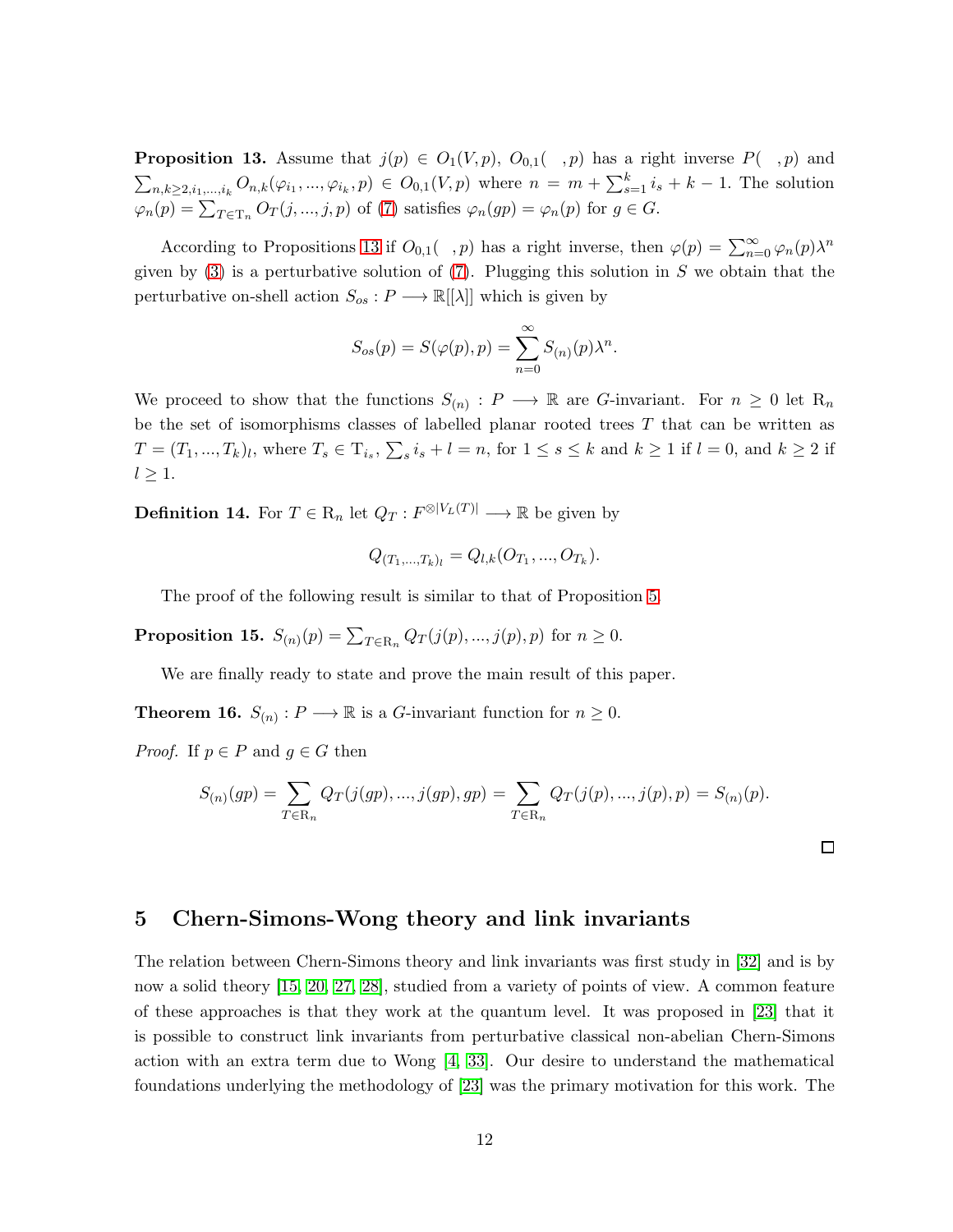<span id="page-11-1"></span>**Proposition 13.** Assume that  $j(p) \in O_1(V, p)$ ,  $O_{0,1}(\tau, p)$  has a right inverse  $P(\tau, p)$  and  $\sum_{n,k\geq 2,i_1,...,i_k} O_{n,k}(\varphi_{i_1},...,\varphi_{i_k},p) \in O_{0,1}(V,p)$  where  $n = m + \sum_{s=1}^k i_s + k - 1$ . The solution  $\varphi_n(p) = \sum_{T \in \mathcal{T}_n} O_T(j, ..., j, p)$  of [\(7\)](#page-10-0) satisfies  $\varphi_n(gp) = \varphi_n(p)$  for  $g \in G$ .

According to Propositions [13](#page-11-1) if  $O_{0,1}(-,p)$  has a right inverse, then  $\varphi(p) = \sum_{n=0}^{\infty} \varphi_n(p) \lambda^n$ given by  $(3)$  is a perturbative solution of  $(7)$ . Plugging this solution in S we obtain that the perturbative on-shell action  $S_{os}: P \longrightarrow \mathbb{R}[[\lambda]]$  which is given by

$$
S_{os}(p) = S(\varphi(p), p) = \sum_{n=0}^{\infty} S_{(n)}(p) \lambda^n.
$$

We proceed to show that the functions  $S(n) : P \longrightarrow \mathbb{R}$  are G-invariant. For  $n \geq 0$  let  $\mathbb{R}_n$ be the set of isomorphisms classes of labelled planar rooted trees  $T$  that can be written as  $T = (T_1, ..., T_k)_l$ , where  $T_s \in T_{i_s}$ ,  $\sum_s i_s + l = n$ , for  $1 \le s \le k$  and  $k \ge 1$  if  $l = 0$ , and  $k \ge 2$  if  $l \geq 1$ .

**Definition 14.** For  $T \in \mathcal{R}_n$  let  $Q_T : F^{\otimes |V_L(T)|} \longrightarrow \mathbb{R}$  be given by

$$
Q_{(T_1,...,T_k)_l} = Q_{l,k}(O_{T_1},...,O_{T_k}).
$$

The proof of the following result is similar to that of Proposition [5.](#page-7-1)

**Proposition 15.**  $S_{(n)}(p) = \sum_{T \in R_n} Q_T(j(p), ..., j(p), p)$  for  $n \ge 0$ .

We are finally ready to state and prove the main result of this paper.

<span id="page-11-2"></span>**Theorem 16.**  $S_{(n)}$ :  $P \longrightarrow \mathbb{R}$  is a *G*-invariant function for  $n \geq 0$ .

*Proof.* If  $p \in P$  and  $q \in G$  then

$$
S_{(n)}(gp) = \sum_{T \in \mathcal{R}_n} Q_T(j(gp), ..., j(gp), gp) = \sum_{T \in \mathcal{R}_n} Q_T(j(p), ..., j(p), p) = S_{(n)}(p).
$$

 $\Box$ 

### <span id="page-11-0"></span>5 Chern-Simons-Wong theory and link invariants

The relation between Chern-Simons theory and link invariants was first study in [\[32\]](#page-19-3) and is by now a solid theory [\[15,](#page-18-6) [20,](#page-18-7) [27,](#page-19-4) [28\]](#page-19-5), studied from a variety of points of view. A common feature of these approaches is that they work at the quantum level. It was proposed in [\[23\]](#page-18-8) that it is possible to construct link invariants from perturbative classical non-abelian Chern-Simons action with an extra term due to Wong [\[4,](#page-17-3) [33\]](#page-19-6). Our desire to understand the mathematical foundations underlying the methodology of [\[23\]](#page-18-8) was the primary motivation for this work. The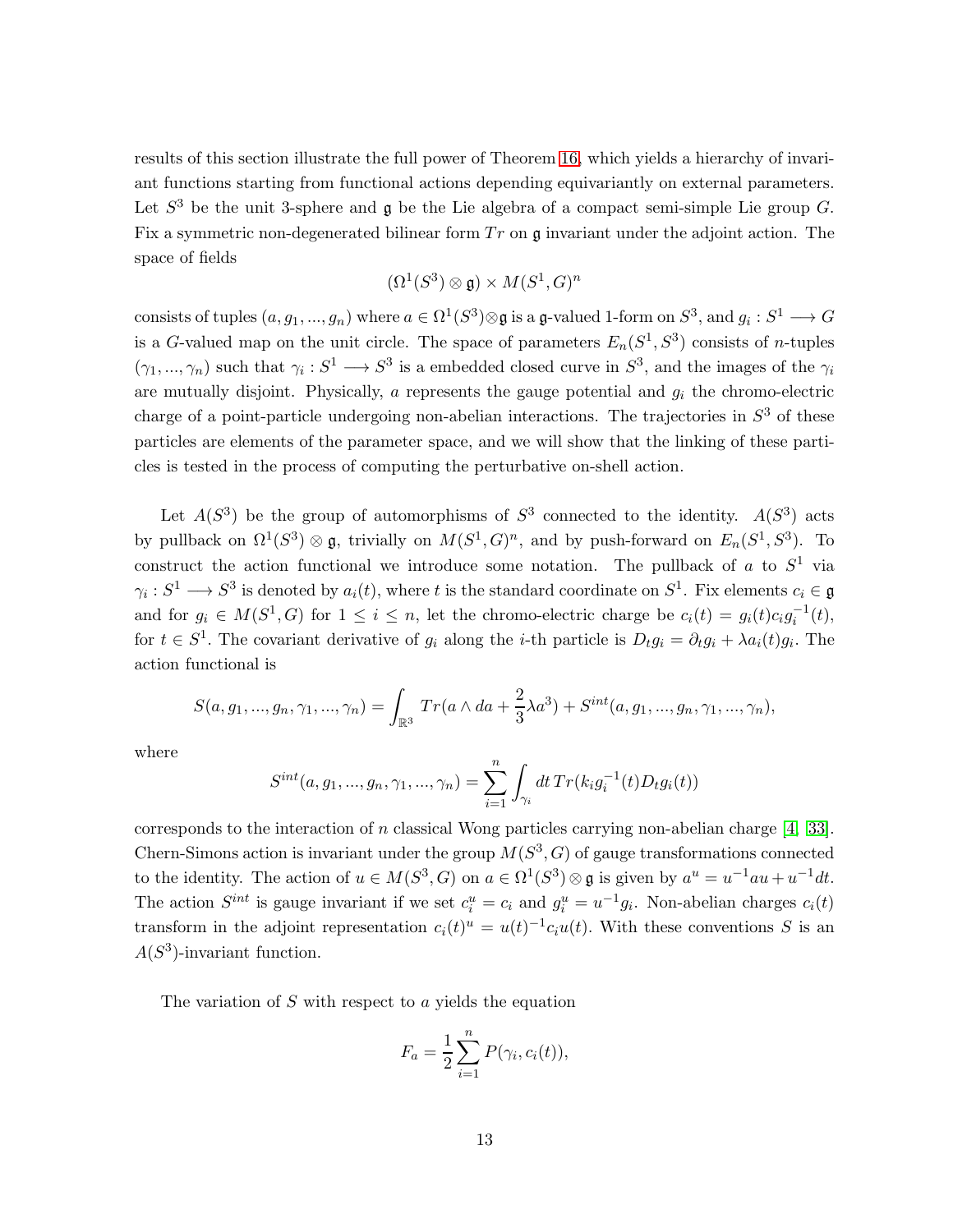results of this section illustrate the full power of Theorem [16,](#page-11-2) which yields a hierarchy of invariant functions starting from functional actions depending equivariantly on external parameters. Let  $S^3$  be the unit 3-sphere and  $\mathfrak g$  be the Lie algebra of a compact semi-simple Lie group G. Fix a symmetric non-degenerated bilinear form  $Tr$  on  $\mathfrak q$  invariant under the adjoint action. The space of fields

$$
(\Omega^1(S^3) \otimes \mathfrak{g}) \times M(S^1, G)^n
$$

consists of tuples  $(a, g_1, ..., g_n)$  where  $a \in \Omega^1(S^3) \otimes \mathfrak{g}$  is a  $\mathfrak{g}\text{-valued 1-form on } S^3$ , and  $g_i : S^1 \longrightarrow G$ is a G-valued map on the unit circle. The space of parameters  $E_n(S^1, S^3)$  consists of *n*-tuples  $(\gamma_1, ..., \gamma_n)$  such that  $\gamma_i : S^1 \longrightarrow S^3$  is a embedded closed curve in  $S^3$ , and the images of the  $\gamma_i$ are mutually disjoint. Physically,  $a$  represents the gauge potential and  $g_i$  the chromo-electric charge of a point-particle undergoing non-abelian interactions. The trajectories in  $S<sup>3</sup>$  of these particles are elements of the parameter space, and we will show that the linking of these particles is tested in the process of computing the perturbative on-shell action.

Let  $A(S^3)$  be the group of automorphisms of  $S^3$  connected to the identity.  $A(S^3)$  acts by pullback on  $\Omega^1(S^3) \otimes \mathfrak{g}$ , trivially on  $M(S^1, G)^n$ , and by push-forward on  $E_n(S^1, S^3)$ . To construct the action functional we introduce some notation. The pullback of a to  $S^1$  via  $\gamma_i: S^1 \longrightarrow S^3$  is denoted by  $a_i(t)$ , where t is the standard coordinate on  $S^1$ . Fix elements  $c_i \in \mathfrak{g}$ and for  $g_i \in M(S^1, G)$  for  $1 \leq i \leq n$ , let the chromo-electric charge be  $c_i(t) = g_i(t)c_i g_i^{-1}(t)$ , for  $t \in S^1$ . The covariant derivative of  $g_i$  along the *i*-th particle is  $D_t g_i = \partial_t g_i + \lambda a_i(t) g_i$ . The action functional is

$$
S(a, g_1, ..., g_n, \gamma_1, ..., \gamma_n) = \int_{\mathbb{R}^3} Tr(a \wedge da + \frac{2}{3} \lambda a^3) + S^{int}(a, g_1, ..., g_n, \gamma_1, ..., \gamma_n),
$$

where

$$
S^{int}(a, g_1, ..., g_n, \gamma_1, ..., \gamma_n) = \sum_{i=1}^n \int_{\gamma_i} dt \, Tr(k_i g_i^{-1}(t) D_t g_i(t))
$$

corresponds to the interaction of n classical Wong particles carrying non-abelian charge  $[4, 33]$  $[4, 33]$ . Chern-Simons action is invariant under the group  $M(S^3, G)$  of gauge transformations connected to the identity. The action of  $u \in M(S^3, G)$  on  $a \in \Omega^1(S^3) \otimes \mathfrak{g}$  is given by  $a^u = u^{-1}au + u^{-1}dt$ . The action  $S^{int}$  is gauge invariant if we set  $c_i^u = c_i$  and  $g_i^u = u^{-1}g_i$ . Non-abelian charges  $c_i(t)$ transform in the adjoint representation  $c_i(t)^u = u(t)^{-1}c_iu(t)$ . With these conventions S is an  $A(S^3)$ -invariant function.

The variation of  $S$  with respect to  $\alpha$  yields the equation

$$
F_a = \frac{1}{2} \sum_{i=1}^n P(\gamma_i, c_i(t)),
$$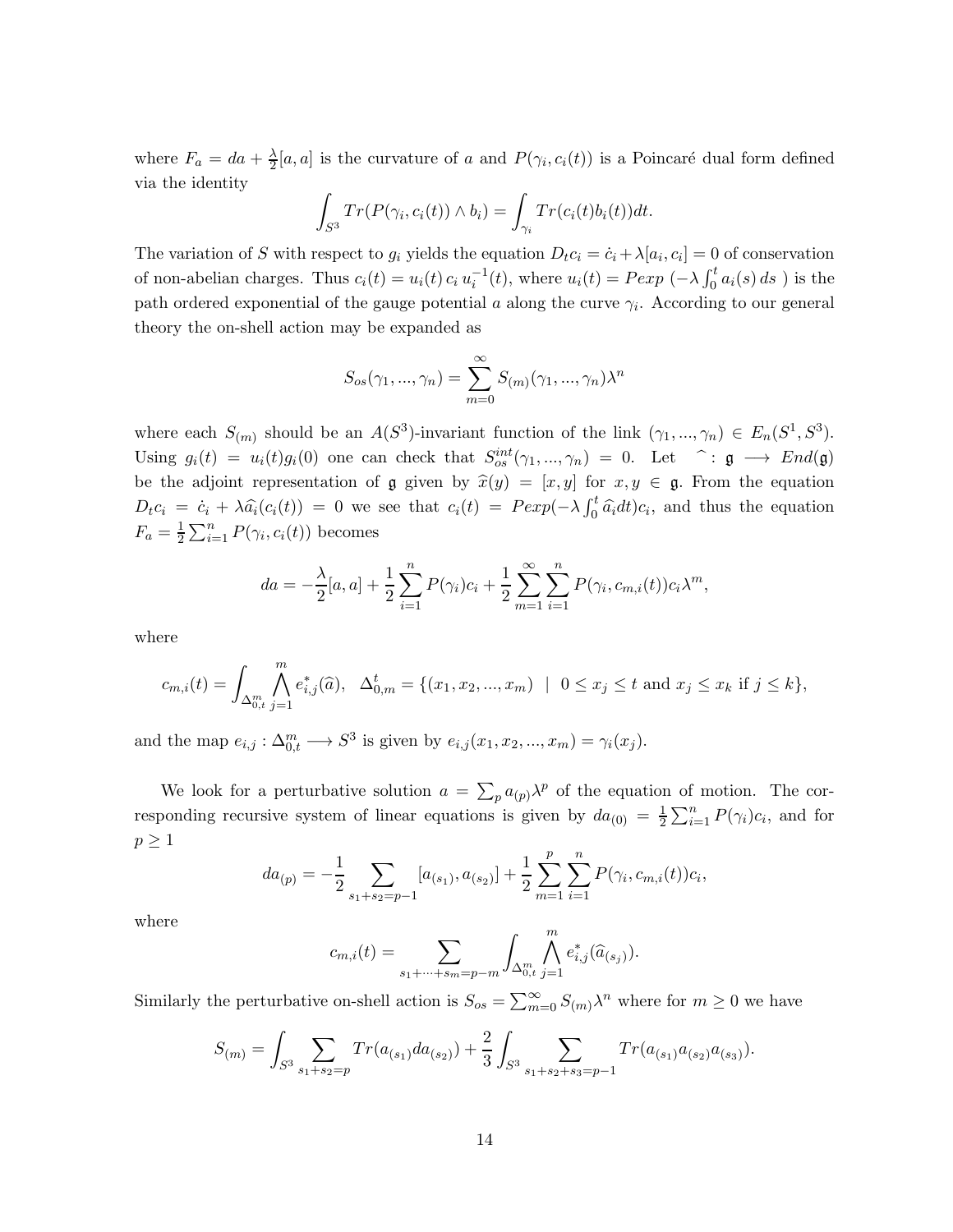where  $F_a = da + \frac{\lambda}{2}$  $\frac{\Delta}{2}[a,a]$  is the curvature of a and  $P(\gamma_i, c_i(t))$  is a Poincaré dual form defined via the identity

$$
\int_{S^3} Tr(P(\gamma_i, c_i(t)) \wedge b_i) = \int_{\gamma_i} Tr(c_i(t)b_i(t))dt.
$$

The variation of S with respect to  $g_i$  yields the equation  $D_t c_i = \dot{c}_i + \lambda [a_i, c_i] = 0$  of conservation of non-abelian charges. Thus  $c_i(t) = u_i(t) c_i u_i^{-1}(t)$ , where  $u_i(t) = P \exp(-\lambda \int_0^t a_i(s) ds)$  is the path ordered exponential of the gauge potential  $a$  along the curve  $\gamma_i$ . According to our general theory the on-shell action may be expanded as

$$
S_{os}(\gamma_1, ..., \gamma_n) = \sum_{m=0}^{\infty} S_{(m)}(\gamma_1, ..., \gamma_n) \lambda^n
$$

where each  $S_{(m)}$  should be an  $A(S^3)$ -invariant function of the link  $(\gamma_1, ..., \gamma_n) \in E_n(S^1, S^3)$ . Using  $g_i(t) = u_i(t)g_i(0)$  one can check that  $S_{os}^{int}(\gamma_1, ..., \gamma_n) = 0$ . Let  $\hat{ }$ :  $\mathfrak{g} \longrightarrow End(\mathfrak{g})$ be the adjoint representation of g given by  $\hat{x}(y) = [x, y]$  for  $x, y \in \mathfrak{g}$ . From the equation  $D_t c_i = \dot{c}_i + \lambda \hat{a}_i(c_i(t)) = 0$  we see that  $c_i(t) = P \exp(-\lambda \int_0^t \hat{a}_i dt) c_i$ , and thus the equation  $F_a = \frac{1}{2}$  $\frac{1}{2} \sum_{i=1}^{n} P(\gamma_i, c_i(t))$  becomes

$$
da = -\frac{\lambda}{2}[a, a] + \frac{1}{2} \sum_{i=1}^{n} P(\gamma_i)c_i + \frac{1}{2} \sum_{m=1}^{\infty} \sum_{i=1}^{n} P(\gamma_i, c_{m,i}(t))c_i\lambda^m,
$$

where

$$
c_{m,i}(t) = \int_{\Delta_{0,t}^m} \bigwedge_{j=1}^m e_{i,j}^*(\widehat{a}), \quad \Delta_{0,m}^t = \{(x_1, x_2, ..., x_m) \mid 0 \le x_j \le t \text{ and } x_j \le x_k \text{ if } j \le k\},\
$$

and the map  $e_{i,j}: \Delta_{0,t}^m \longrightarrow S^3$  is given by  $e_{i,j}(x_1, x_2, ..., x_m) = \gamma_i(x_j)$ .

We look for a perturbative solution  $a = \sum_{p} a_{(p)} \lambda^p$  of the equation of motion. The corresponding recursive system of linear equations is given by  $da_{(0)} = \frac{1}{2}$  $\frac{1}{2} \sum_{i=1}^{n} P(\gamma_i) c_i$ , and for  $p \geq 1$ 

$$
da_{(p)} = -\frac{1}{2} \sum_{s_1+s_2=p-1} [a_{(s_1)}, a_{(s_2)}] + \frac{1}{2} \sum_{m=1}^p \sum_{i=1}^n P(\gamma_i, c_{m,i}(t))c_i,
$$

where

$$
c_{m,i}(t) = \sum_{s_1 + \dots + s_m = p-m} \int_{\Delta_{0,t}^m} \bigwedge_{j=1}^m e_{i,j}^*(\widehat{a}_{(s_j)}).
$$

Similarly the perturbative on-shell action is  $S_{os} = \sum_{m=0}^{\infty} S_{(m)} \lambda^n$  where for  $m \ge 0$  we have

$$
S_{(m)} = \int_{S^3} \sum_{s_1+s_2=p} Tr(a_{(s_1)}da_{(s_2)}) + \frac{2}{3} \int_{S^3} \sum_{s_1+s_2+s_3=p-1} Tr(a_{(s_1)}a_{(s_2)}a_{(s_3)}).
$$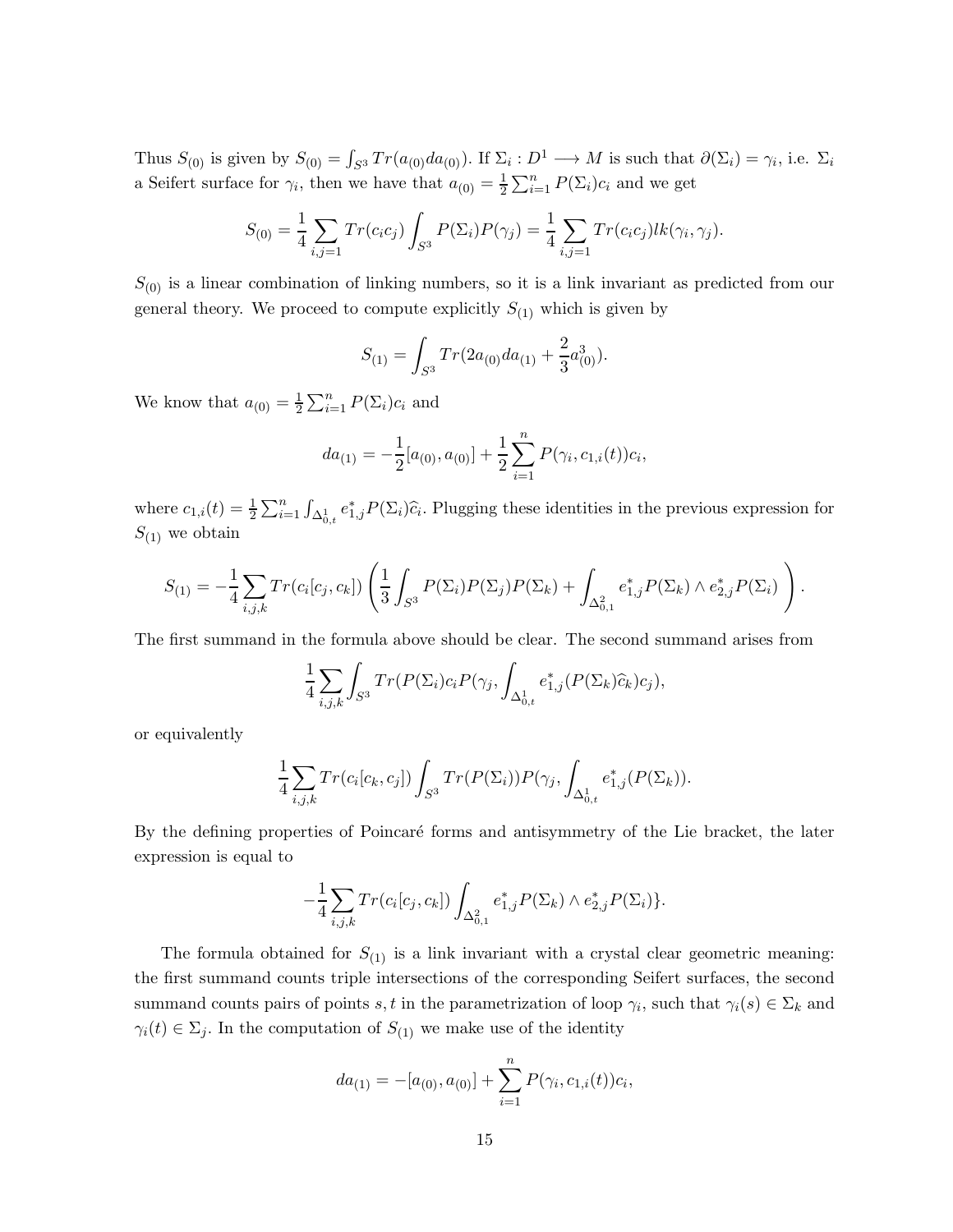Thus  $S_{(0)}$  is given by  $S_{(0)} = \int_{S^3} Tr(a_{(0)}da_{(0)})$ . If  $\Sigma_i : D^1 \longrightarrow M$  is such that  $\partial(\Sigma_i) = \gamma_i$ , i.e.  $\Sigma_i$ a Seifert surface for  $\gamma_i$ , then we have that  $a_{(0)} = \frac{1}{2} \sum_{i=1}^n P(\Sigma_i)c_i$  and we get

$$
S_{(0)} = \frac{1}{4} \sum_{i,j=1} \text{Tr}(c_i c_j) \int_{S^3} P(\Sigma_i) P(\gamma_j) = \frac{1}{4} \sum_{i,j=1} \text{Tr}(c_i c_j) lk(\gamma_i, \gamma_j).
$$

 $S_{(0)}$  is a linear combination of linking numbers, so it is a link invariant as predicted from our general theory. We proceed to compute explicitly  $S_{(1)}$  which is given by

$$
S_{(1)} = \int_{S^3} Tr(2a_{(0)}da_{(1)} + \frac{2}{3}a_{(0)}^3).
$$

We know that  $a_{(0)} = \frac{1}{2}$  $\frac{1}{2} \sum_{i=1}^{n} P(\Sigma_i) c_i$  and

$$
da_{(1)} = -\frac{1}{2}[a_{(0)}, a_{(0)}] + \frac{1}{2}\sum_{i=1}^{n} P(\gamma_i, c_{1,i}(t))c_i,
$$

where  $c_{1,i}(t) = \frac{1}{2} \sum_{i=1}^{n} \int_{\Delta_{0,t}^1} e_{1,j}^* P(\Sigma_i) \hat{c}_i$ . Plugging these identities in the previous expression for  $S_{(1)}$  we obtain

$$
S_{(1)} = -\frac{1}{4} \sum_{i,j,k} Tr(c_i[c_j,c_k]) \left( \frac{1}{3} \int_{S^3} P(\Sigma_i) P(\Sigma_j) P(\Sigma_k) + \int_{\Delta_{0,1}^2} e_{1,j}^* P(\Sigma_k) \wedge e_{2,j}^* P(\Sigma_i) \right).
$$

The first summand in the formula above should be clear. The second summand arises from

$$
\frac{1}{4} \sum_{i,j,k} \int_{S^3} Tr(P(\Sigma_i)c_i P(\gamma_j, \int_{\Delta_{0,t}^1} e_{1,j}^*(P(\Sigma_k)\widehat{c}_k)c_j),
$$

or equivalently

$$
\frac{1}{4} \sum_{i,j,k} Tr(c_i[c_k,c_j]) \int_{S^3} Tr(P(\Sigma_i)) P(\gamma_j, \int_{\Delta_{0,t}^1} e_{1,j}^*(P(\Sigma_k)).
$$

By the defining properties of Poincaré forms and antisymmetry of the Lie bracket, the later expression is equal to

$$
-\frac{1}{4}\sum_{i,j,k}Tr(c_i[c_j,c_k])\int_{\Delta_{0,1}^2}e_{1,j}^*P(\Sigma_k)\wedge e_{2,j}^*P(\Sigma_i)\}.
$$

The formula obtained for  $S_{(1)}$  is a link invariant with a crystal clear geometric meaning: the first summand counts triple intersections of the corresponding Seifert surfaces, the second summand counts pairs of points s, t in the parametrization of loop  $\gamma_i$ , such that  $\gamma_i(s) \in \Sigma_k$  and  $\gamma_i(t) \in \Sigma_j$ . In the computation of  $S_{(1)}$  we make use of the identity

$$
da_{(1)} = -[a_{(0)}, a_{(0)}] + \sum_{i=1}^{n} P(\gamma_i, c_{1,i}(t))c_i,
$$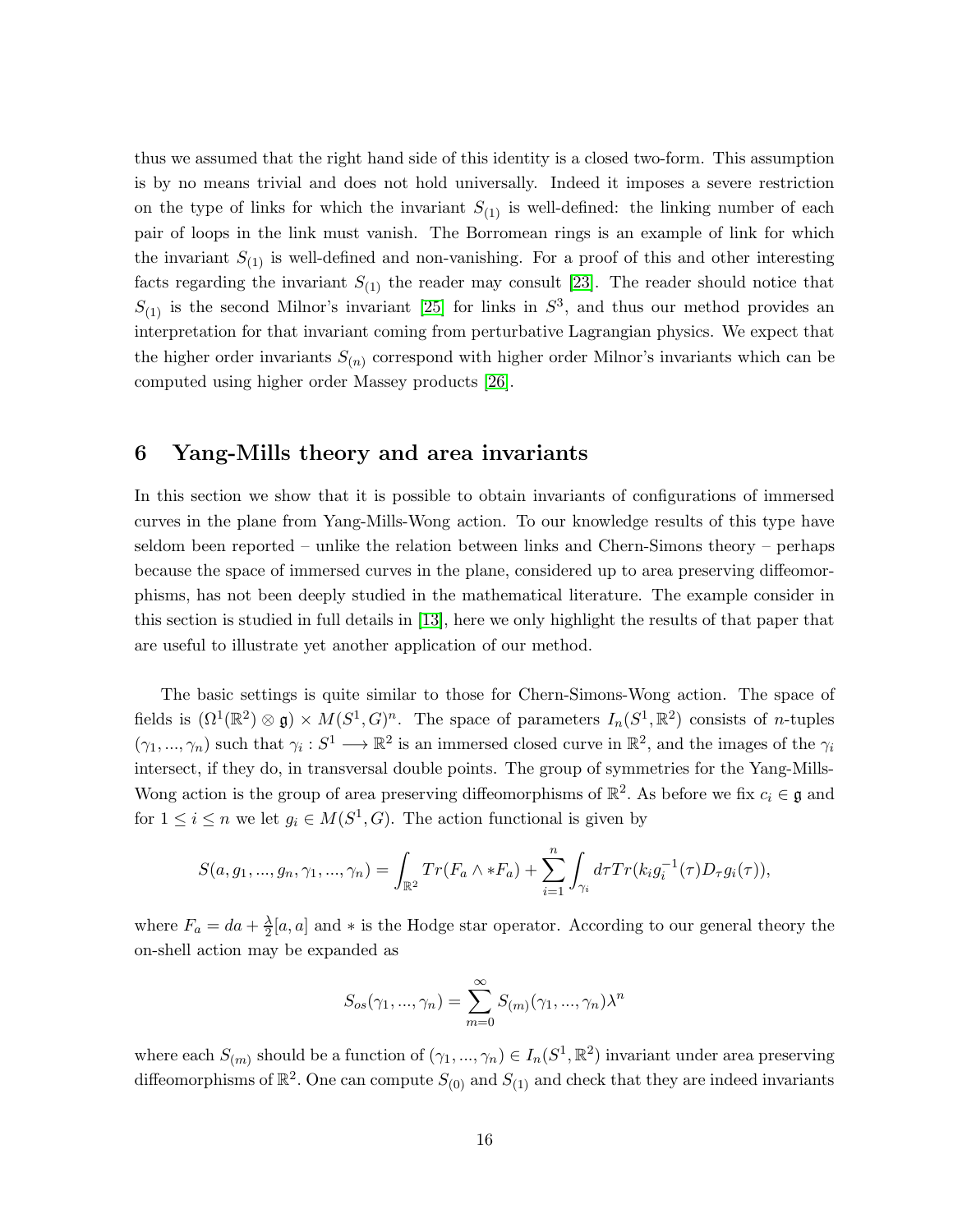thus we assumed that the right hand side of this identity is a closed two-form. This assumption is by no means trivial and does not hold universally. Indeed it imposes a severe restriction on the type of links for which the invariant  $S_{(1)}$  is well-defined: the linking number of each pair of loops in the link must vanish. The Borromean rings is an example of link for which the invariant  $S_{(1)}$  is well-defined and non-vanishing. For a proof of this and other interesting facts regarding the invariant  $S_{(1)}$  the reader may consult [\[23\]](#page-18-8). The reader should notice that  $S_{(1)}$  is the second Milnor's invariant [\[25\]](#page-18-9) for links in  $S^3$ , and thus our method provides an interpretation for that invariant coming from perturbative Lagrangian physics. We expect that the higher order invariants  $S_{(n)}$  correspond with higher order Milnor's invariants which can be computed using higher order Massey products [\[26\]](#page-18-10).

### <span id="page-15-0"></span>6 Yang-Mills theory and area invariants

In this section we show that it is possible to obtain invariants of configurations of immersed curves in the plane from Yang-Mills-Wong action. To our knowledge results of this type have seldom been reported – unlike the relation between links and Chern-Simons theory – perhaps because the space of immersed curves in the plane, considered up to area preserving diffeomorphisms, has not been deeply studied in the mathematical literature. The example consider in this section is studied in full details in [\[13\]](#page-18-11), here we only highlight the results of that paper that are useful to illustrate yet another application of our method.

The basic settings is quite similar to those for Chern-Simons-Wong action. The space of fields is  $(\Omega^1(\mathbb{R}^2) \otimes \mathfrak{g}) \times M(S^1, G)^n$ . The space of parameters  $I_n(S^1, \mathbb{R}^2)$  consists of *n*-tuples  $(\gamma_1, ..., \gamma_n)$  such that  $\gamma_i : S^1 \longrightarrow \mathbb{R}^2$  is an immersed closed curve in  $\mathbb{R}^2$ , and the images of the  $\gamma_i$ intersect, if they do, in transversal double points. The group of symmetries for the Yang-Mills-Wong action is the group of area preserving diffeomorphisms of  $\mathbb{R}^2$ . As before we fix  $c_i \in \mathfrak{g}$  and for  $1 \leq i \leq n$  we let  $g_i \in M(S^1, G)$ . The action functional is given by

$$
S(a, g_1, ..., g_n, \gamma_1, ..., \gamma_n) = \int_{\mathbb{R}^2} Tr(F_a \wedge *F_a) + \sum_{i=1}^n \int_{\gamma_i} d\tau Tr(k_i g_i^{-1}(\tau) D_{\tau} g_i(\tau)),
$$

where  $F_a = da + \frac{\lambda}{2}$  $\frac{\Delta}{2}[a, a]$  and \* is the Hodge star operator. According to our general theory the on-shell action may be expanded as

$$
S_{os}(\gamma_1, ..., \gamma_n) = \sum_{m=0}^{\infty} S_{(m)}(\gamma_1, ..., \gamma_n) \lambda^n
$$

where each  $S_{(m)}$  should be a function of  $(\gamma_1, ..., \gamma_n) \in I_n(S^1, \mathbb{R}^2)$  invariant under area preserving diffeomorphisms of  $\mathbb{R}^2$ . One can compute  $S_{(0)}$  and  $S_{(1)}$  and check that they are indeed invariants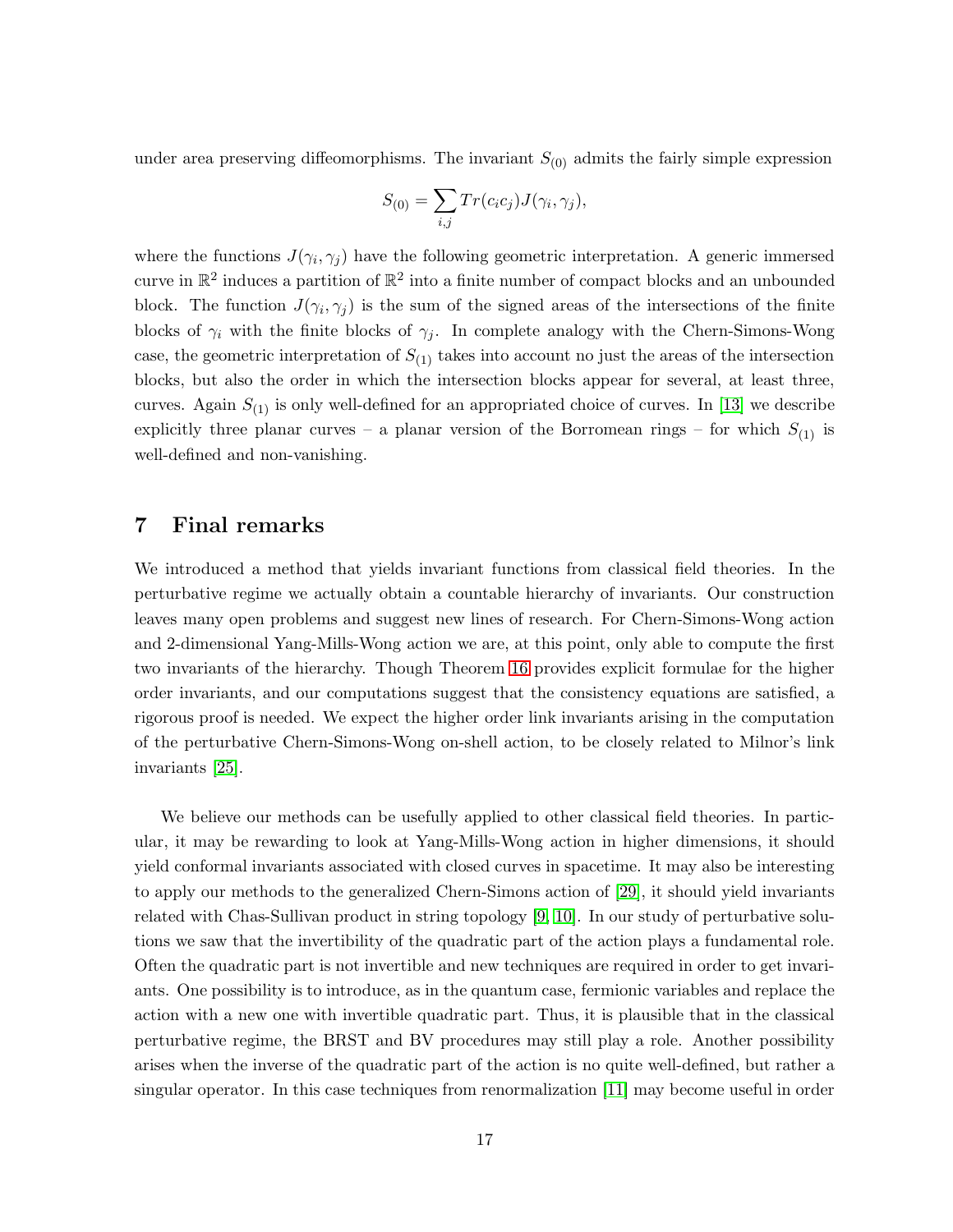under area preserving diffeomorphisms. The invariant  $S_{(0)}$  admits the fairly simple expression

$$
S_{(0)} = \sum_{i,j} Tr(c_i c_j) J(\gamma_i, \gamma_j),
$$

where the functions  $J(\gamma_i, \gamma_j)$  have the following geometric interpretation. A generic immersed curve in  $\mathbb{R}^2$  induces a partition of  $\mathbb{R}^2$  into a finite number of compact blocks and an unbounded block. The function  $J(\gamma_i, \gamma_j)$  is the sum of the signed areas of the intersections of the finite blocks of  $\gamma_i$  with the finite blocks of  $\gamma_j$ . In complete analogy with the Chern-Simons-Wong case, the geometric interpretation of  $S_{(1)}$  takes into account no just the areas of the intersection blocks, but also the order in which the intersection blocks appear for several, at least three, curves. Again  $S_{(1)}$  is only well-defined for an appropriated choice of curves. In [\[13\]](#page-18-11) we describe explicitly three planar curves – a planar version of the Borromean rings – for which  $S_{(1)}$  is well-defined and non-vanishing.

#### <span id="page-16-0"></span>7 Final remarks

We introduced a method that yields invariant functions from classical field theories. In the perturbative regime we actually obtain a countable hierarchy of invariants. Our construction leaves many open problems and suggest new lines of research. For Chern-Simons-Wong action and 2-dimensional Yang-Mills-Wong action we are, at this point, only able to compute the first two invariants of the hierarchy. Though Theorem [16](#page-11-2) provides explicit formulae for the higher order invariants, and our computations suggest that the consistency equations are satisfied, a rigorous proof is needed. We expect the higher order link invariants arising in the computation of the perturbative Chern-Simons-Wong on-shell action, to be closely related to Milnor's link invariants [\[25\]](#page-18-9).

We believe our methods can be usefully applied to other classical field theories. In particular, it may be rewarding to look at Yang-Mills-Wong action in higher dimensions, it should yield conformal invariants associated with closed curves in spacetime. It may also be interesting to apply our methods to the generalized Chern-Simons action of [\[29\]](#page-19-7), it should yield invariants related with Chas-Sullivan product in string topology [\[9,](#page-17-4) [10\]](#page-17-5). In our study of perturbative solutions we saw that the invertibility of the quadratic part of the action plays a fundamental role. Often the quadratic part is not invertible and new techniques are required in order to get invariants. One possibility is to introduce, as in the quantum case, fermionic variables and replace the action with a new one with invertible quadratic part. Thus, it is plausible that in the classical perturbative regime, the BRST and BV procedures may still play a role. Another possibility arises when the inverse of the quadratic part of the action is no quite well-defined, but rather a singular operator. In this case techniques from renormalization [\[11\]](#page-17-6) may become useful in order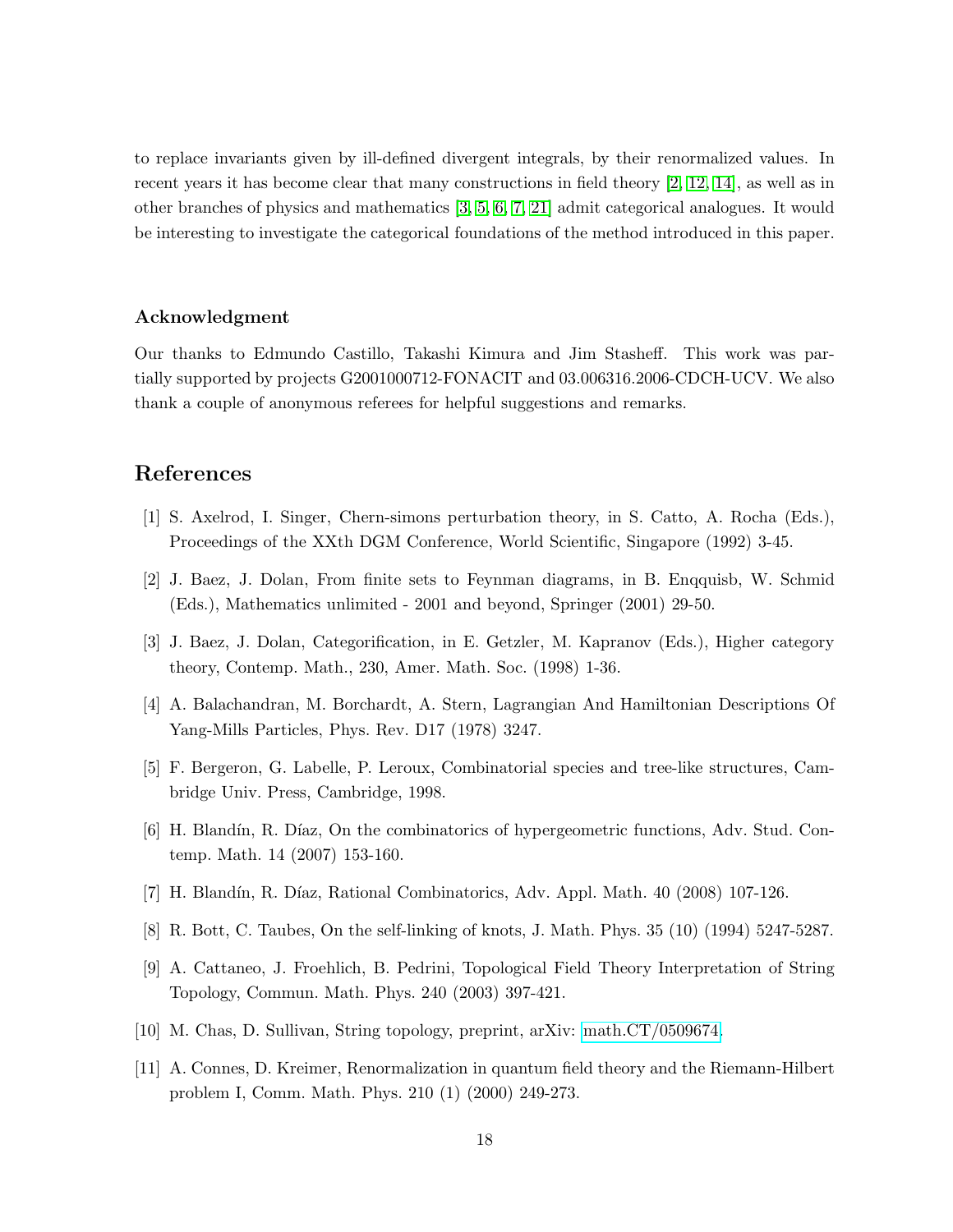to replace invariants given by ill-defined divergent integrals, by their renormalized values. In recent years it has become clear that many constructions in field theory [\[2,](#page-17-7) [12,](#page-18-12) [14\]](#page-18-13), as well as in other branches of physics and mathematics [\[3,](#page-17-8) [5,](#page-17-2) [6,](#page-17-9) [7,](#page-17-10) [21\]](#page-18-14) admit categorical analogues. It would be interesting to investigate the categorical foundations of the method introduced in this paper.

#### Acknowledgment

Our thanks to Edmundo Castillo, Takashi Kimura and Jim Stasheff. This work was partially supported by projects G2001000712-FONACIT and 03.006316.2006-CDCH-UCV. We also thank a couple of anonymous referees for helpful suggestions and remarks.

### <span id="page-17-0"></span>References

- <span id="page-17-7"></span>[1] S. Axelrod, I. Singer, Chern-simons perturbation theory, in S. Catto, A. Rocha (Eds.), Proceedings of the XXth DGM Conference, World Scientific, Singapore (1992) 3-45.
- <span id="page-17-8"></span>[2] J. Baez, J. Dolan, From finite sets to Feynman diagrams, in B. Enqquisb, W. Schmid (Eds.), Mathematics unlimited - 2001 and beyond, Springer (2001) 29-50.
- <span id="page-17-3"></span>[3] J. Baez, J. Dolan, Categorification, in E. Getzler, M. Kapranov (Eds.), Higher category theory, Contemp. Math., 230, Amer. Math. Soc. (1998) 1-36.
- <span id="page-17-2"></span>[4] A. Balachandran, M. Borchardt, A. Stern, Lagrangian And Hamiltonian Descriptions Of Yang-Mills Particles, Phys. Rev. D17 (1978) 3247.
- <span id="page-17-9"></span>[5] F. Bergeron, G. Labelle, P. Leroux, Combinatorial species and tree-like structures, Cambridge Univ. Press, Cambridge, 1998.
- <span id="page-17-10"></span>[6] H. Blandín, R. Díaz, On the combinatorics of hypergeometric functions, Adv. Stud. Contemp. Math. 14 (2007) 153-160.
- <span id="page-17-1"></span>[7] H. Blandín, R. Díaz, Rational Combinatorics, Adv. Appl. Math. 40 (2008) 107-126.
- <span id="page-17-4"></span>[8] R. Bott, C. Taubes, On the self-linking of knots, J. Math. Phys. 35 (10) (1994) 5247-5287.
- <span id="page-17-5"></span>[9] A. Cattaneo, J. Froehlich, B. Pedrini, Topological Field Theory Interpretation of String Topology, Commun. Math. Phys. 240 (2003) 397-421.
- <span id="page-17-6"></span>[10] M. Chas, D. Sullivan, String topology, preprint, arXiv: [math.CT/0509674.](http://arxiv.org/abs/math/0509674)
- [11] A. Connes, D. Kreimer, Renormalization in quantum field theory and the Riemann-Hilbert problem I, Comm. Math. Phys. 210 (1) (2000) 249-273.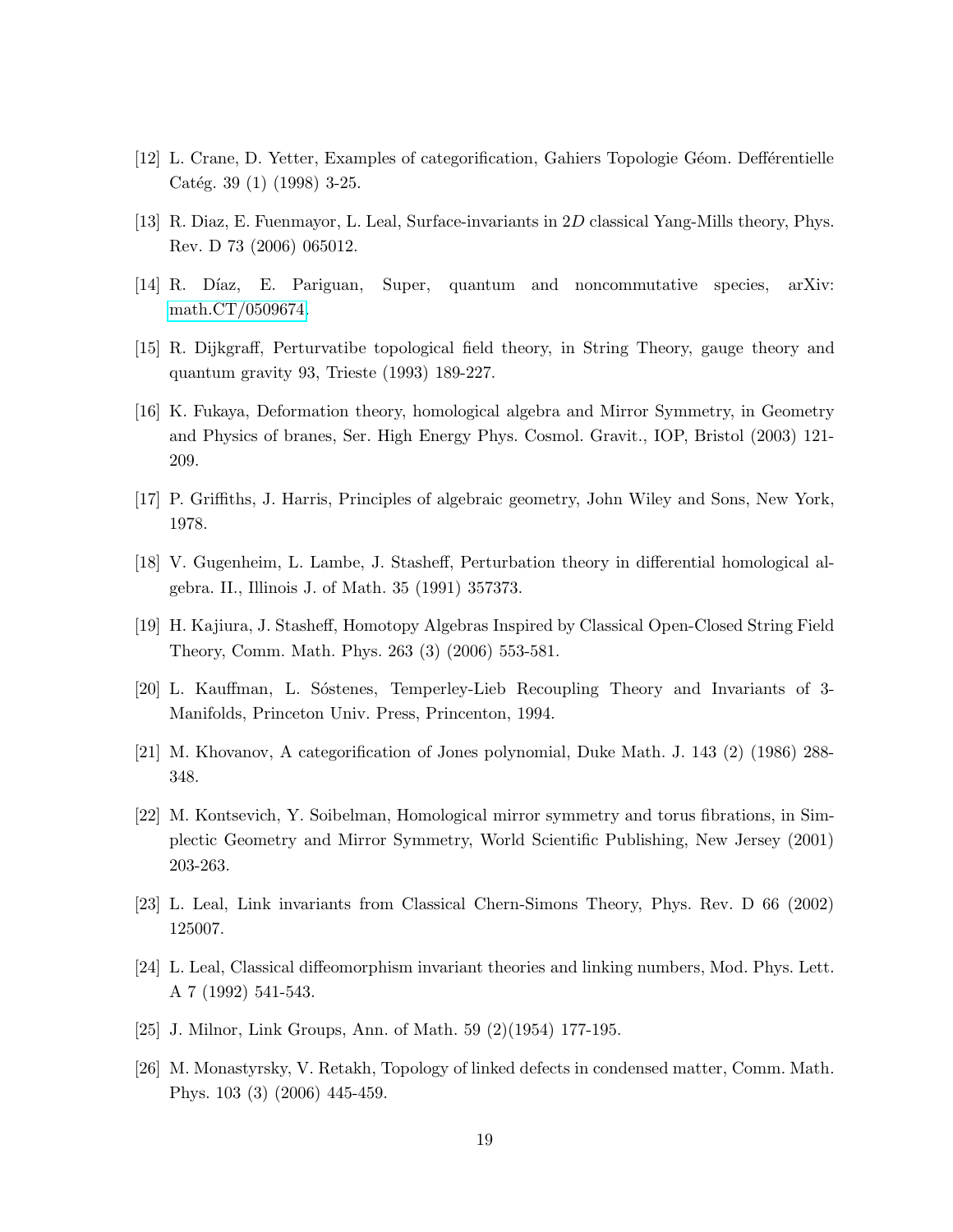- <span id="page-18-12"></span><span id="page-18-11"></span>[12] L. Crane, D. Yetter, Examples of categorification, Gahiers Topologie G´eom. Deff´erentielle Catég. 39 (1) (1998) 3-25.
- <span id="page-18-13"></span>[13] R. Diaz, E. Fuenmayor, L. Leal, Surface-invariants in 2D classical Yang-Mills theory, Phys. Rev. D 73 (2006) 065012.
- <span id="page-18-6"></span>[14] R. Díaz, E. Pariguan, Super, quantum and noncommutative species, arXiv: [math.CT/0509674.](http://arxiv.org/abs/math/0509674)
- <span id="page-18-3"></span>[15] R. Dijkgraff, Perturvatibe topological field theory, in String Theory, gauge theory and quantum gravity 93, Trieste (1993) 189-227.
- [16] K. Fukaya, Deformation theory, homological algebra and Mirror Symmetry, in Geometry and Physics of branes, Ser. High Energy Phys. Cosmol. Gravit., IOP, Bristol (2003) 121- 209.
- <span id="page-18-2"></span><span id="page-18-0"></span>[17] P. Griffiths, J. Harris, Principles of algebraic geometry, John Wiley and Sons, New York, 1978.
- <span id="page-18-5"></span>[18] V. Gugenheim, L. Lambe, J. Stasheff, Perturbation theory in differential homological algebra. II., Illinois J. of Math. 35 (1991) 357373.
- <span id="page-18-7"></span>[19] H. Kajiura, J. Stasheff, Homotopy Algebras Inspired by Classical Open-Closed String Field Theory, Comm. Math. Phys. 263 (3) (2006) 553-581.
- <span id="page-18-14"></span>[20] L. Kauffman, L. Sostenes, Temperley-Lieb Recoupling Theory and Invariants of 3-Manifolds, Princeton Univ. Press, Princenton, 1994.
- <span id="page-18-4"></span>[21] M. Khovanov, A categorification of Jones polynomial, Duke Math. J. 143 (2) (1986) 288- 348.
- [22] M. Kontsevich, Y. Soibelman, Homological mirror symmetry and torus fibrations, in Simplectic Geometry and Mirror Symmetry, World Scientific Publishing, New Jersey (2001) 203-263.
- <span id="page-18-8"></span><span id="page-18-1"></span>[23] L. Leal, Link invariants from Classical Chern-Simons Theory, Phys. Rev. D 66 (2002) 125007.
- <span id="page-18-9"></span>[24] L. Leal, Classical diffeomorphism invariant theories and linking numbers, Mod. Phys. Lett. A 7 (1992) 541-543.
- <span id="page-18-10"></span>[25] J. Milnor, Link Groups, Ann. of Math. 59 (2)(1954) 177-195.
- [26] M. Monastyrsky, V. Retakh, Topology of linked defects in condensed matter, Comm. Math. Phys. 103 (3) (2006) 445-459.